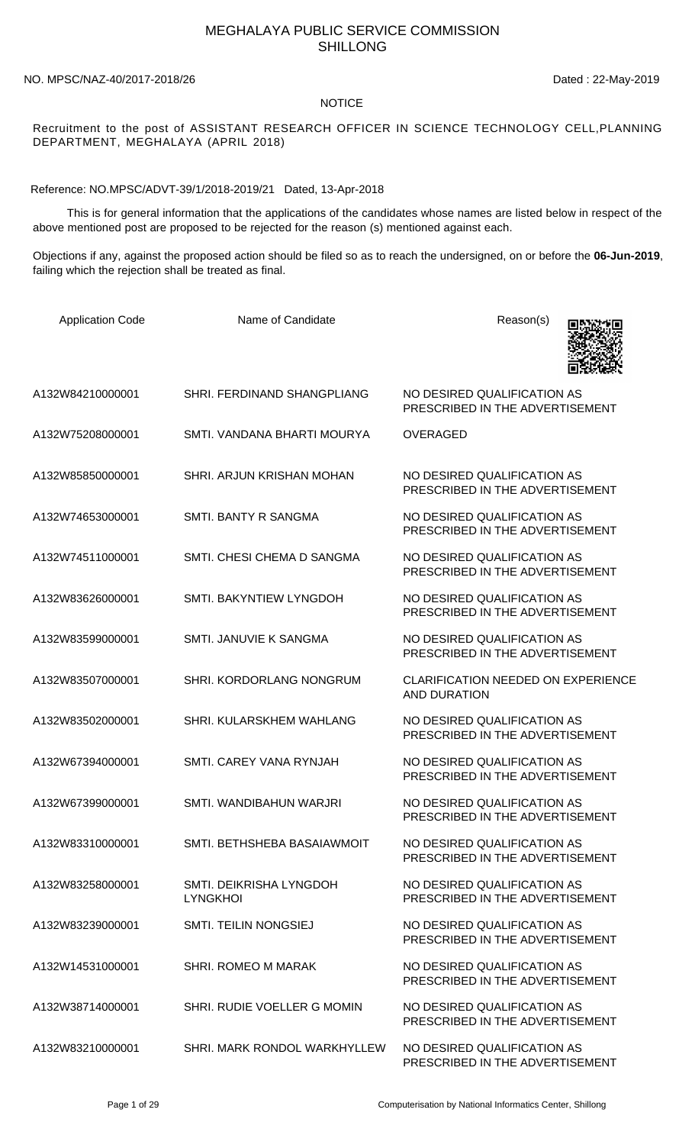## MEGHALAYA PUBLIC SERVICE COMMISSION SHILLONG

## NO. MPSC/NAZ-40/2017-2018/26 Dated : 22-May-2019

## NOTICE

Recruitment to the post of ASSISTANT RESEARCH OFFICER IN SCIENCE TECHNOLOGY CELL,PLANNING DEPARTMENT, MEGHALAYA (APRIL 2018)

Reference: NO.MPSC/ADVT-39/1/2018-2019/21 Dated, 13-Apr-2018

 This is for general information that the applications of the candidates whose names are listed below in respect of the above mentioned post are proposed to be rejected for the reason (s) mentioned against each.

Objections if any, against the proposed action should be filed so as to reach the undersigned, on or before the **06-Jun-2019**, failing which the rejection shall be treated as final.

| <b>Application Code</b> | Name of Candidate                          | Reason(s)                                                        |
|-------------------------|--------------------------------------------|------------------------------------------------------------------|
| A132W84210000001        | SHRI. FERDINAND SHANGPLIANG                | NO DESIRED QUALIFICATION AS<br>PRESCRIBED IN THE ADVERTISEMENT   |
| A132W75208000001        | SMTI, VANDANA BHARTI MOURYA                | <b>OVERAGED</b>                                                  |
| A132W85850000001        | SHRI. ARJUN KRISHAN MOHAN                  | NO DESIRED OUALIFICATION AS<br>PRESCRIBED IN THE ADVERTISEMENT   |
| A132W74653000001        | SMTI, BANTY R SANGMA                       | NO DESIRED QUALIFICATION AS<br>PRESCRIBED IN THE ADVERTISEMENT   |
| A132W74511000001        | SMTI. CHESI CHEMA D SANGMA                 | NO DESIRED QUALIFICATION AS<br>PRESCRIBED IN THE ADVERTISEMENT   |
| A132W83626000001        | SMTI. BAKYNTIEW LYNGDOH                    | NO DESIRED QUALIFICATION AS<br>PRESCRIBED IN THE ADVERTISEMENT   |
| A132W83599000001        | SMTI. JANUVIE K SANGMA                     | NO DESIRED QUALIFICATION AS<br>PRESCRIBED IN THE ADVERTISEMENT   |
| A132W83507000001        | SHRI. KORDORLANG NONGRUM                   | <b>CLARIFICATION NEEDED ON EXPERIENCE</b><br><b>AND DURATION</b> |
| A132W83502000001        | SHRI. KULARSKHEM WAHLANG                   | NO DESIRED QUALIFICATION AS<br>PRESCRIBED IN THE ADVERTISEMENT   |
| A132W67394000001        | SMTI. CAREY VANA RYNJAH                    | NO DESIRED QUALIFICATION AS<br>PRESCRIBED IN THE ADVERTISEMENT   |
| A132W67399000001        | SMTI, WANDIBAHUN WARJRI                    | NO DESIRED QUALIFICATION AS<br>PRESCRIBED IN THE ADVERTISEMENT   |
| A132W83310000001        | SMTI. BETHSHEBA BASAIAWMOIT                | NO DESIRED QUALIFICATION AS<br>PRESCRIBED IN THE ADVERTISEMENT   |
| A132W83258000001        | SMTI. DEIKRISHA LYNGDOH<br><b>LYNGKHOI</b> | NO DESIRED QUALIFICATION AS<br>PRESCRIBED IN THE ADVERTISEMENT   |
| A132W83239000001        | <b>SMTI. TEILIN NONGSIEJ</b>               | NO DESIRED QUALIFICATION AS<br>PRESCRIBED IN THE ADVERTISEMENT   |
| A132W14531000001        | <b>SHRI. ROMEO M MARAK</b>                 | NO DESIRED QUALIFICATION AS<br>PRESCRIBED IN THE ADVERTISEMENT   |
| A132W38714000001        | SHRI. RUDIE VOELLER G MOMIN                | NO DESIRED QUALIFICATION AS<br>PRESCRIBED IN THE ADVERTISEMENT   |
| A132W83210000001        | SHRI. MARK RONDOL WARKHYLLEW               | NO DESIRED QUALIFICATION AS<br>PRESCRIBED IN THE ADVERTISEMENT   |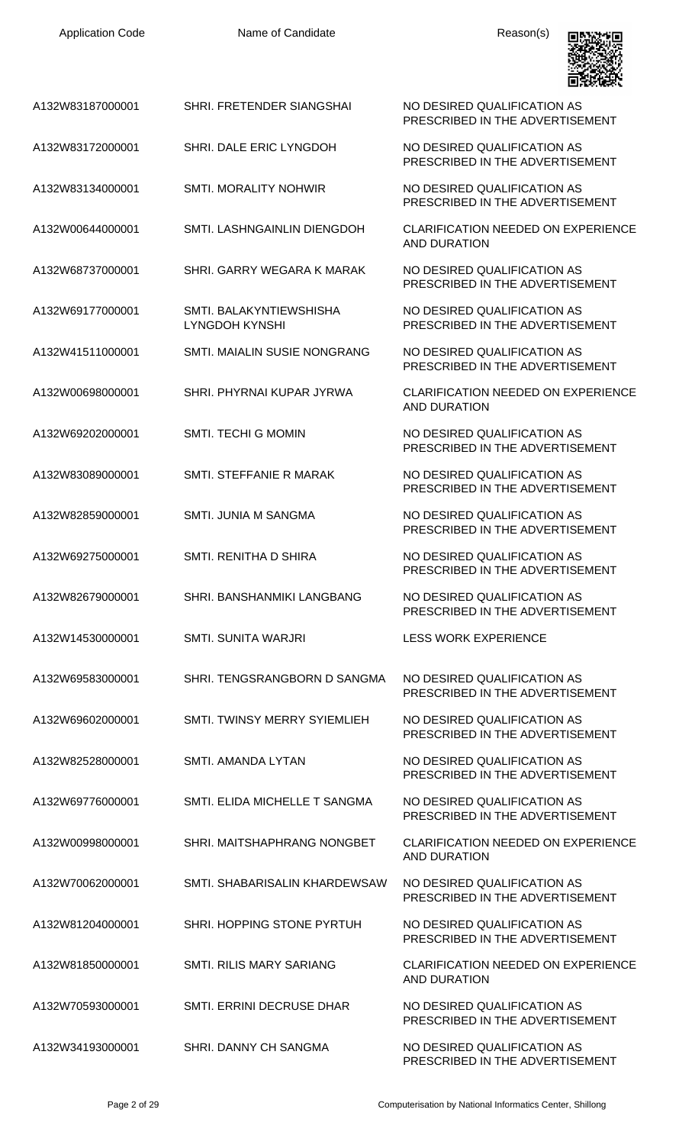| <b>Application Code</b> | Name of Candidate                                | Reason(s)                                                        |
|-------------------------|--------------------------------------------------|------------------------------------------------------------------|
| A132W83187000001        | SHRI. FRETENDER SIANGSHAI                        | NO DESIRED QUALIFICATION AS<br>PRESCRIBED IN THE ADVERTISEMENT   |
| A132W83172000001        | SHRI. DALE ERIC LYNGDOH                          | NO DESIRED QUALIFICATION AS<br>PRESCRIBED IN THE ADVERTISEMENT   |
| A132W83134000001        | <b>SMTI. MORALITY NOHWIR</b>                     | NO DESIRED QUALIFICATION AS<br>PRESCRIBED IN THE ADVERTISEMENT   |
| A132W00644000001        | SMTI. LASHNGAINLIN DIENGDOH                      | <b>CLARIFICATION NEEDED ON EXPERIENCE</b><br><b>AND DURATION</b> |
| A132W68737000001        | SHRI. GARRY WEGARA K MARAK                       | NO DESIRED QUALIFICATION AS<br>PRESCRIBED IN THE ADVERTISEMENT   |
| A132W69177000001        | SMTI. BALAKYNTIEWSHISHA<br><b>LYNGDOH KYNSHI</b> | NO DESIRED QUALIFICATION AS<br>PRESCRIBED IN THE ADVERTISEMENT   |
| A132W41511000001        | <b>SMTI. MAIALIN SUSIE NONGRANG</b>              | NO DESIRED QUALIFICATION AS<br>PRESCRIBED IN THE ADVERTISEMENT   |
| A132W00698000001        | SHRI. PHYRNAI KUPAR JYRWA                        | <b>CLARIFICATION NEEDED ON EXPERIENCE</b><br><b>AND DURATION</b> |
| A132W69202000001        | <b>SMTI. TECHI G MOMIN</b>                       | NO DESIRED QUALIFICATION AS<br>PRESCRIBED IN THE ADVERTISEMENT   |
| A132W83089000001        | SMTI. STEFFANIE R MARAK                          | NO DESIRED QUALIFICATION AS<br>PRESCRIBED IN THE ADVERTISEMENT   |
| A132W82859000001        | SMTL JUNIA M SANGMA                              | NO DESIRED QUALIFICATION AS<br>PRESCRIBED IN THE ADVERTISEMENT   |
| A132W69275000001        | SMTI. RENITHA D SHIRA                            | NO DESIRED QUALIFICATION AS<br>PRESCRIBED IN THE ADVERTISEMENT   |
| A132W82679000001        | SHRI, BANSHANMIKI LANGBANG                       | NO DESIRED QUALIFICATION AS<br>PRESCRIBED IN THE ADVERTISEMENT   |
| A132W14530000001        | <b>SMTI. SUNITA WARJRI</b>                       | <b>LESS WORK EXPERIENCE</b>                                      |
| A132W69583000001        | SHRI. TENGSRANGBORN D SANGMA                     | NO DESIRED QUALIFICATION AS<br>PRESCRIBED IN THE ADVERTISEMENT   |
| A132W69602000001        | SMTI. TWINSY MERRY SYIEMLIEH                     | NO DESIRED QUALIFICATION AS<br>PRESCRIBED IN THE ADVERTISEMENT   |
| A132W82528000001        | SMTI. AMANDA LYTAN                               | NO DESIRED QUALIFICATION AS<br>PRESCRIBED IN THE ADVERTISEMENT   |
| A132W69776000001        | SMTI. ELIDA MICHELLE T SANGMA                    | NO DESIRED QUALIFICATION AS<br>PRESCRIBED IN THE ADVERTISEMENT   |
| A132W00998000001        | SHRI. MAITSHAPHRANG NONGBET                      | <b>CLARIFICATION NEEDED ON EXPERIENCE</b><br>AND DURATION        |
| A132W70062000001        | SMTI. SHABARISALIN KHARDEWSAW                    | NO DESIRED QUALIFICATION AS<br>PRESCRIBED IN THE ADVERTISEMENT   |
| A132W81204000001        | SHRI. HOPPING STONE PYRTUH                       | NO DESIRED QUALIFICATION AS<br>PRESCRIBED IN THE ADVERTISEMENT   |
| A132W81850000001        | SMTL RILIS MARY SARIANG                          | CLARIFICATION NEEDED ON EXPERIENCE<br>AND DURATION               |
| A132W70593000001        | SMTI. ERRINI DECRUSE DHAR                        | NO DESIRED QUALIFICATION AS<br>PRESCRIBED IN THE ADVERTISEMENT   |
| A132W34193000001        | SHRI. DANNY CH SANGMA                            | NO DESIRED QUALIFICATION AS<br>PRESCRIBED IN THE ADVERTISEMENT   |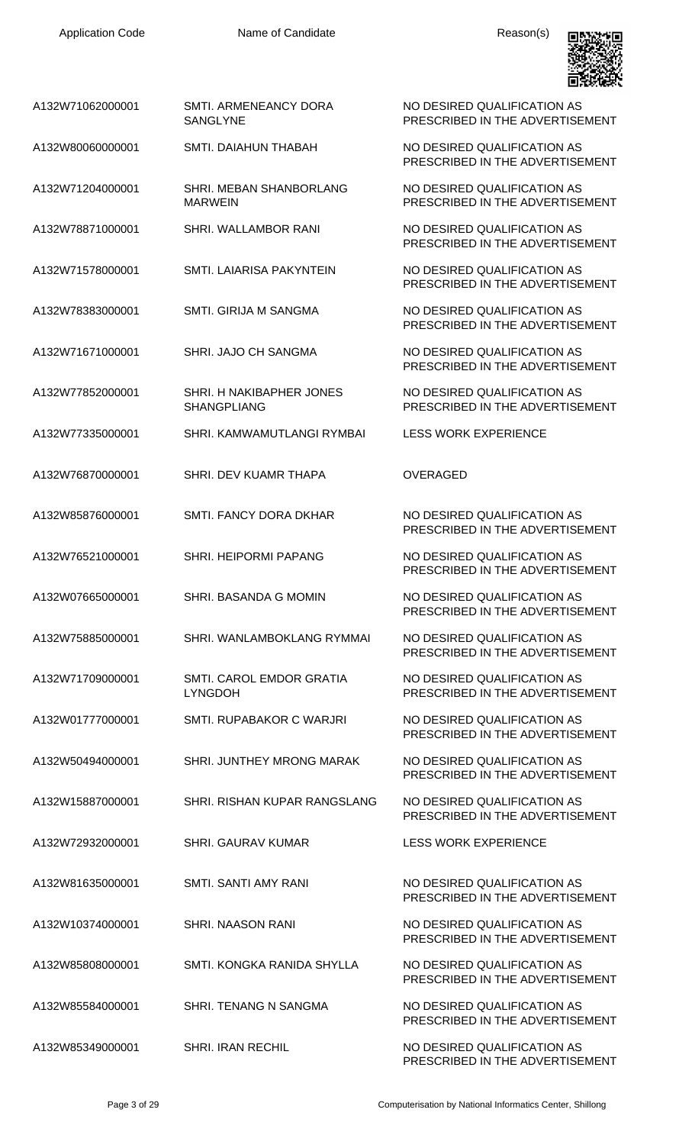

NO DESIRED QUALIFICATION AS PRESCRIBED IN THE ADVERTISEMENT

PRESCRIBED IN THE ADVERTISEMENT

NO DESIRED QUALIFICATION AS PRESCRIBED IN THE ADVERTISEMENT

PRESCRIBED IN THE ADVERTISEMENT

PRESCRIBED IN THE ADVERTISEMENT

PRESCRIBED IN THE ADVERTISEMENT

PRESCRIBED IN THE ADVERTISEMENT

NO DESIRED QUALIFICATION AS PRESCRIBED IN THE ADVERTISEMENT

PRESCRIBED IN THE ADVERTISEMENT

PRESCRIBED IN THE ADVERTISEMENT

PRESCRIBED IN THE ADVERTISEMENT

PRESCRIBED IN THE ADVERTISEMENT

NO DESIRED QUALIFICATION AS PRESCRIBED IN THE ADVERTISEMENT

PRESCRIBED IN THE ADVERTISEMENT

PRESCRIBED IN THE ADVERTISEMENT

PRESCRIBED IN THE ADVERTISEMENT

PRESCRIBED IN THE ADVERTISEMENT

PRESCRIBED IN THE ADVERTISEMENT

PRESCRIBED IN THE ADVERTISEMENT

PRESCRIBED IN THE ADVERTISEMENT

PRESCRIBED IN THE ADVERTISEMENT

| A132W71062000001 | SMTI. ARMENEANCY DORA |
|------------------|-----------------------|
|                  | SANGLYNE              |

A132W80060000001 SMTI. DAIAHUN THABAH NO DESIRED QUALIFICATION AS

- A132W71204000001 SHRI. MEBAN SHANBORLANG MARWEIN
- A132W78871000001 SHRI. WALLAMBOR RANI NO DESIRED QUALIFICATION AS
- A132W71578000001 SMTI. LAIARISA PAKYNTEIN NO DESIRED QUALIFICATION AS

A132W78383000001 SMTI. GIRIJA M SANGMA NO DESIRED QUALIFICATION AS

- A132W71671000001 SHRI. JAJO CH SANGMA NO DESIRED QUALIFICATION AS
- A132W77852000001 SHRI. H NAKIBAPHER JONES SHANGPLIANG
- A132W77335000001 SHRI. KAMWAMUTLANGI RYMBAI LESS WORK EXPERIENCE
- A132W76870000001 SHRI. DEV KUAMR THAPA OVERAGED
- A132W85876000001 SMTI. FANCY DORA DKHAR NO DESIRED QUALIFICATION AS
- A132W76521000001 SHRI. HEIPORMI PAPANG NO DESIRED QUALIFICATION AS
- A132W07665000001 SHRI. BASANDA G MOMIN NO DESIRED QUALIFICATION AS
- A132W75885000001 SHRI. WANLAMBOKLANG RYMMAI NO DESIRED QUALIFICATION AS
- A132W71709000001 SMTI. CAROL EMDOR GRATIA LYNGDOH
- A132W01777000001 SMTI. RUPABAKOR C WARJRI NO DESIRED QUALIFICATION AS
- A132W50494000001 SHRI. JUNTHEY MRONG MARAK NO DESIRED QUALIFICATION AS
- A132W15887000001 SHRI. RISHAN KUPAR RANGSLANG NO DESIRED QUALIFICATION AS
- A132W72932000001 SHRI. GAURAV KUMAR LESS WORK EXPERIENCE
- A132W81635000001 SMTI. SANTI AMY RANI NO DESIRED QUALIFICATION AS
- A132W10374000001 SHRI. NAASON RANI NO DESIRED QUALIFICATION AS
- A132W85808000001 SMTI. KONGKA RANIDA SHYLLA NO DESIRED QUALIFICATION AS
- A132W85584000001 SHRI. TENANG N SANGMA NO DESIRED QUALIFICATION AS
- A132W85349000001 SHRI. IRAN RECHIL NO DESIRED QUALIFICATION AS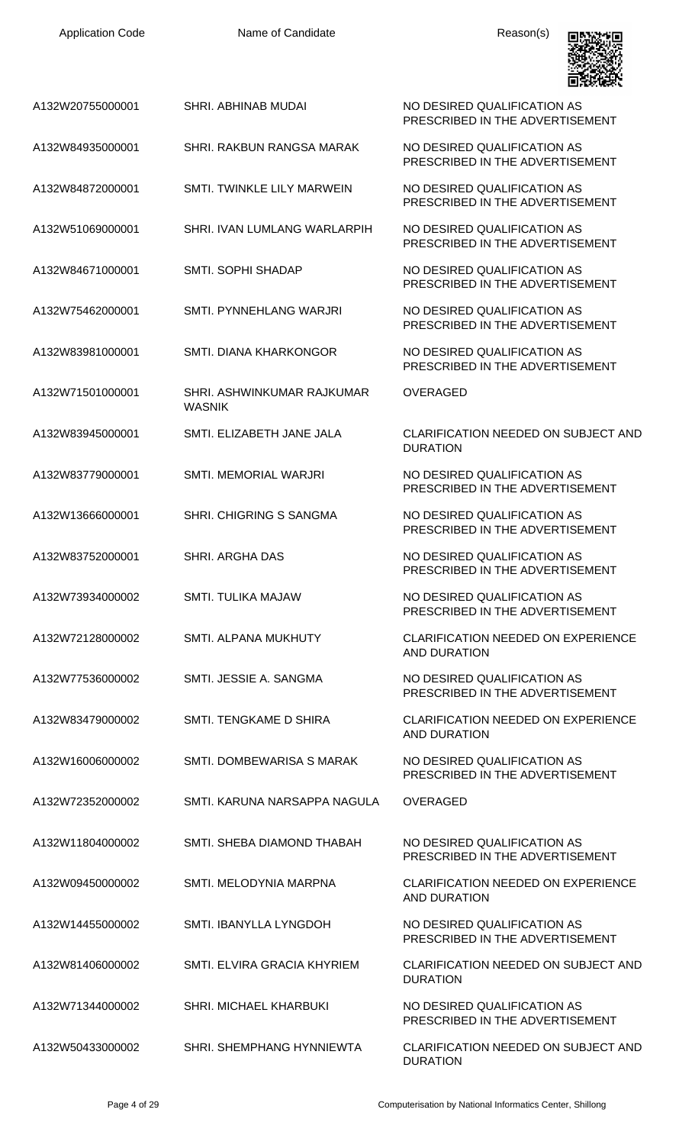| <b>Application Code</b> | Name of Candidate                           | Reason(s)                                                        |
|-------------------------|---------------------------------------------|------------------------------------------------------------------|
| A132W20755000001        | SHRI. ABHINAB MUDAI                         | NO DESIRED QUALIFICATION AS<br>PRESCRIBED IN THE ADVERTISEMENT   |
| A132W84935000001        | SHRI. RAKBUN RANGSA MARAK                   | NO DESIRED QUALIFICATION AS<br>PRESCRIBED IN THE ADVERTISEMENT   |
| A132W84872000001        | SMTI. TWINKLE LILY MARWEIN                  | NO DESIRED QUALIFICATION AS<br>PRESCRIBED IN THE ADVERTISEMENT   |
| A132W51069000001        | SHRI. IVAN LUMLANG WARLARPIH                | NO DESIRED QUALIFICATION AS<br>PRESCRIBED IN THE ADVERTISEMENT   |
| A132W84671000001        | SMTI. SOPHI SHADAP                          | NO DESIRED QUALIFICATION AS<br>PRESCRIBED IN THE ADVERTISEMENT   |
| A132W75462000001        | SMTI. PYNNEHLANG WARJRI                     | NO DESIRED QUALIFICATION AS<br>PRESCRIBED IN THE ADVERTISEMENT   |
| A132W83981000001        | SMTI. DIANA KHARKONGOR                      | NO DESIRED QUALIFICATION AS<br>PRESCRIBED IN THE ADVERTISEMENT   |
| A132W71501000001        | SHRI. ASHWINKUMAR RAJKUMAR<br><b>WASNIK</b> | <b>OVERAGED</b>                                                  |
| A132W83945000001        | SMTI. ELIZABETH JANE JALA                   | <b>CLARIFICATION NEEDED ON SUBJECT AND</b><br><b>DURATION</b>    |
| A132W83779000001        | <b>SMTI. MEMORIAL WARJRI</b>                | NO DESIRED QUALIFICATION AS<br>PRESCRIBED IN THE ADVERTISEMENT   |
| A132W13666000001        | SHRI. CHIGRING S SANGMA                     | NO DESIRED QUALIFICATION AS<br>PRESCRIBED IN THE ADVERTISEMENT   |
| A132W83752000001        | <b>SHRI. ARGHA DAS</b>                      | NO DESIRED QUALIFICATION AS<br>PRESCRIBED IN THE ADVERTISEMENT   |
| A132W73934000002        | <b>SMTI. TULIKA MAJAW</b>                   | NO DESIRED QUALIFICATION AS<br>PRESCRIBED IN THE ADVERTISEMENT   |
| A132W72128000002        | <b>SMTI. ALPANA MUKHUTY</b>                 | <b>CLARIFICATION NEEDED ON EXPERIENCE</b><br><b>AND DURATION</b> |
| A132W77536000002        | SMTI. JESSIE A. SANGMA                      | NO DESIRED QUALIFICATION AS<br>PRESCRIBED IN THE ADVERTISEMENT   |
| A132W83479000002        | SMTI. TENGKAME D SHIRA                      | <b>CLARIFICATION NEEDED ON EXPERIENCE</b><br><b>AND DURATION</b> |
| A132W16006000002        | SMTI. DOMBEWARISA S MARAK                   | NO DESIRED QUALIFICATION AS<br>PRESCRIBED IN THE ADVERTISEMENT   |
| A132W72352000002        | SMTI. KARUNA NARSAPPA NAGULA                | <b>OVERAGED</b>                                                  |
| A132W11804000002        | SMTI. SHEBA DIAMOND THABAH                  | NO DESIRED QUALIFICATION AS<br>PRESCRIBED IN THE ADVERTISEMENT   |
| A132W09450000002        | SMTI. MELODYNIA MARPNA                      | <b>CLARIFICATION NEEDED ON EXPERIENCE</b><br><b>AND DURATION</b> |
| A132W14455000002        | SMTI. IBANYLLA LYNGDOH                      | NO DESIRED QUALIFICATION AS<br>PRESCRIBED IN THE ADVERTISEMENT   |
| A132W81406000002        | SMTI. ELVIRA GRACIA KHYRIEM                 | <b>CLARIFICATION NEEDED ON SUBJECT AND</b><br><b>DURATION</b>    |
| A132W71344000002        | <b>SHRI. MICHAEL KHARBUKI</b>               | NO DESIRED QUALIFICATION AS<br>PRESCRIBED IN THE ADVERTISEMENT   |
| A132W50433000002        | SHRI. SHEMPHANG HYNNIEWTA                   | CLARIFICATION NEEDED ON SUBJECT AND<br><b>DURATION</b>           |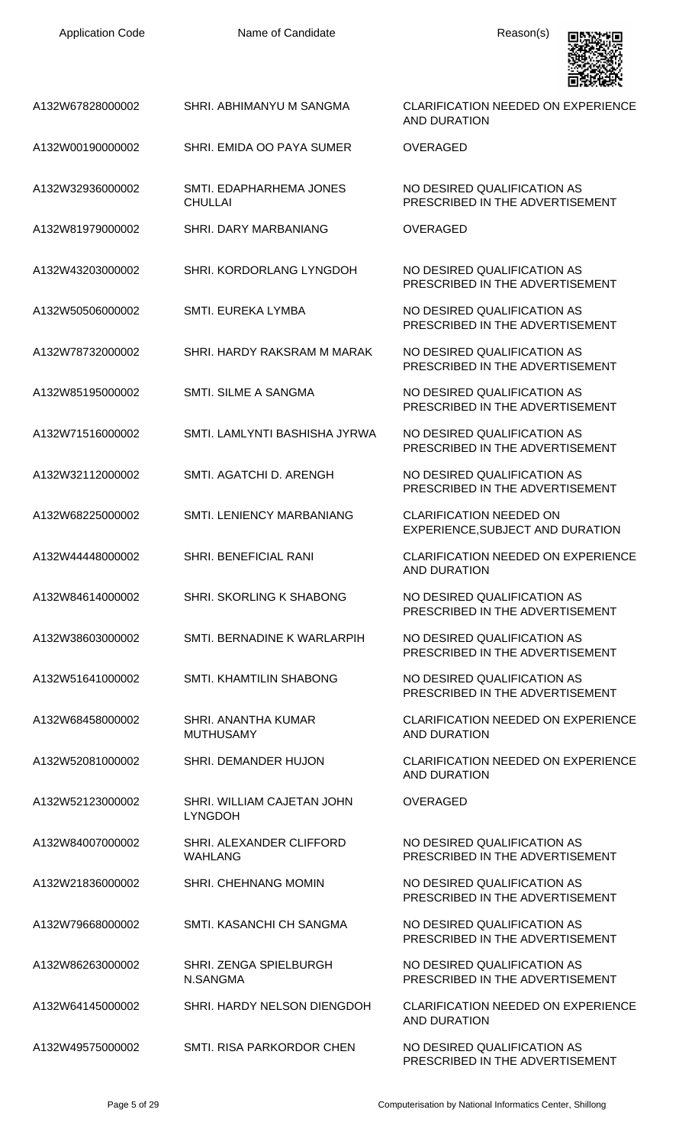| <b>Application Code</b> |  |
|-------------------------|--|
|-------------------------|--|

Name of Candidate **Reason(s)** 



| A132W67828000002 | SHRI. ABHIMANYU M SANGMA                     | <b>CLARIFICATION NEEDED ON EXPERIENCE</b><br><b>AND DURATION</b>   |
|------------------|----------------------------------------------|--------------------------------------------------------------------|
| A132W00190000002 | SHRI. EMIDA OO PAYA SUMER                    | <b>OVERAGED</b>                                                    |
| A132W32936000002 | SMTI. EDAPHARHEMA JONES<br><b>CHULLAI</b>    | NO DESIRED QUALIFICATION AS<br>PRESCRIBED IN THE ADVERTISEMENT     |
| A132W81979000002 | SHRI, DARY MARBANIANG                        | <b>OVERAGED</b>                                                    |
| A132W43203000002 | SHRI. KORDORLANG LYNGDOH                     | NO DESIRED QUALIFICATION AS<br>PRESCRIBED IN THE ADVERTISEMENT     |
| A132W50506000002 | SMTI. EUREKA LYMBA                           | NO DESIRED QUALIFICATION AS<br>PRESCRIBED IN THE ADVERTISEMENT     |
| A132W78732000002 | SHRI. HARDY RAKSRAM M MARAK                  | NO DESIRED QUALIFICATION AS<br>PRESCRIBED IN THE ADVERTISEMENT     |
| A132W85195000002 | <b>SMTI. SILME A SANGMA</b>                  | NO DESIRED QUALIFICATION AS<br>PRESCRIBED IN THE ADVERTISEMENT     |
| A132W71516000002 | SMTI. LAMLYNTI BASHISHA JYRWA                | NO DESIRED QUALIFICATION AS<br>PRESCRIBED IN THE ADVERTISEMENT     |
| A132W32112000002 | SMTI. AGATCHI D. ARENGH                      | NO DESIRED QUALIFICATION AS<br>PRESCRIBED IN THE ADVERTISEMENT     |
| A132W68225000002 | <b>SMTI. LENIENCY MARBANIANG</b>             | <b>CLARIFICATION NEEDED ON</b><br>EXPERIENCE, SUBJECT AND DURATION |
| A132W44448000002 | <b>SHRI. BENEFICIAL RANI</b>                 | <b>CLARIFICATION NEEDED ON EXPERIENCE</b><br>AND DURATION          |
| A132W84614000002 | SHRI. SKORLING K SHABONG                     | NO DESIRED QUALIFICATION AS<br>PRESCRIBED IN THE ADVERTISEMENT     |
| A132W38603000002 | SMTI. BERNADINE K WARLARPIH                  | NO DESIRED QUALIFICATION AS<br>PRESCRIBED IN THE ADVERTISEMENT     |
| A132W51641000002 | SMTI. KHAMTILIN SHABONG                      | NO DESIRED QUALIFICATION AS<br>PRESCRIBED IN THE ADVERTISEMENT     |
| A132W68458000002 | SHRI. ANANTHA KUMAR<br><b>MUTHUSAMY</b>      | <b>CLARIFICATION NEEDED ON EXPERIENCE</b><br>AND DURATION          |
| A132W52081000002 | SHRI. DEMANDER HUJON                         | <b>CLARIFICATION NEEDED ON EXPERIENCE</b><br>AND DURATION          |
| A132W52123000002 | SHRI. WILLIAM CAJETAN JOHN<br><b>LYNGDOH</b> | <b>OVERAGED</b>                                                    |
| A132W84007000002 | SHRI. ALEXANDER CLIFFORD<br><b>WAHLANG</b>   | NO DESIRED QUALIFICATION AS<br>PRESCRIBED IN THE ADVERTISEMENT     |
| A132W21836000002 | SHRI. CHEHNANG MOMIN                         | NO DESIRED QUALIFICATION AS<br>PRESCRIBED IN THE ADVERTISEMENT     |
| A132W79668000002 | SMTI. KASANCHI CH SANGMA                     | NO DESIRED QUALIFICATION AS<br>PRESCRIBED IN THE ADVERTISEMENT     |
| A132W86263000002 | SHRI. ZENGA SPIELBURGH<br>N.SANGMA           | NO DESIRED QUALIFICATION AS<br>PRESCRIBED IN THE ADVERTISEMENT     |
| A132W64145000002 | SHRI. HARDY NELSON DIENGDOH                  | <b>CLARIFICATION NEEDED ON EXPERIENCE</b><br><b>AND DURATION</b>   |
| A132W49575000002 | SMTI, RISA PARKORDOR CHEN                    | NO DESIRED QUALIFICATION AS<br>PRESCRIBED IN THE ADVERTISEMENT     |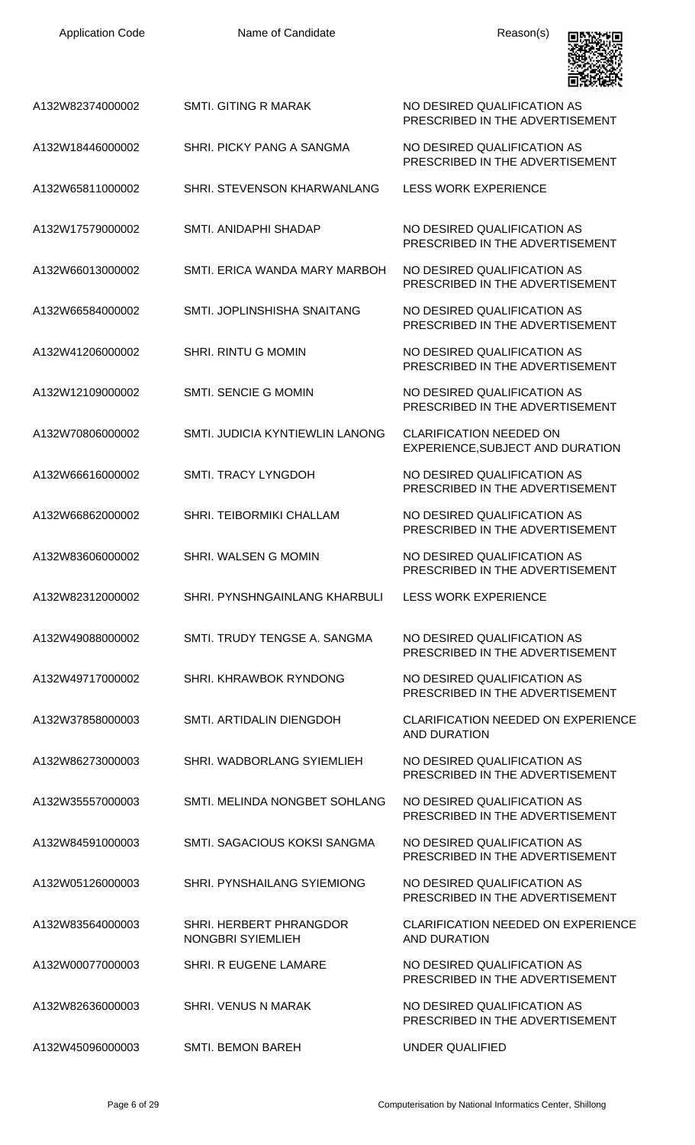| <b>Application Code</b> | Name of Candidate                            | Reason(s)                                                          |
|-------------------------|----------------------------------------------|--------------------------------------------------------------------|
| A132W82374000002        | <b>SMTI. GITING R MARAK</b>                  | NO DESIRED QUALIFICATION AS<br>PRESCRIBED IN THE ADVERTISEMENT     |
| A132W18446000002        | SHRI. PICKY PANG A SANGMA                    | NO DESIRED QUALIFICATION AS<br>PRESCRIBED IN THE ADVERTISEMENT     |
| A132W65811000002        | SHRI. STEVENSON KHARWANLANG                  | <b>LESS WORK EXPERIENCE</b>                                        |
| A132W17579000002        | SMTI. ANIDAPHI SHADAP                        | NO DESIRED QUALIFICATION AS<br>PRESCRIBED IN THE ADVERTISEMENT     |
| A132W66013000002        | SMTI. ERICA WANDA MARY MARBOH                | NO DESIRED QUALIFICATION AS<br>PRESCRIBED IN THE ADVERTISEMENT     |
| A132W66584000002        | SMTI, JOPLINSHISHA SNAITANG                  | NO DESIRED QUALIFICATION AS<br>PRESCRIBED IN THE ADVERTISEMENT     |
| A132W41206000002        | <b>SHRI. RINTU G MOMIN</b>                   | NO DESIRED QUALIFICATION AS<br>PRESCRIBED IN THE ADVERTISEMENT     |
| A132W12109000002        | <b>SMTI. SENCIE G MOMIN</b>                  | NO DESIRED QUALIFICATION AS<br>PRESCRIBED IN THE ADVERTISEMENT     |
| A132W70806000002        | SMTI. JUDICIA KYNTIEWLIN LANONG              | <b>CLARIFICATION NEEDED ON</b><br>EXPERIENCE, SUBJECT AND DURATION |
| A132W66616000002        | <b>SMTI. TRACY LYNGDOH</b>                   | NO DESIRED QUALIFICATION AS<br>PRESCRIBED IN THE ADVERTISEMENT     |
| A132W66862000002        | SHRI. TEIBORMIKI CHALLAM                     | NO DESIRED QUALIFICATION AS<br>PRESCRIBED IN THE ADVERTISEMENT     |
| A132W83606000002        | SHRI. WALSEN G MOMIN                         | NO DESIRED QUALIFICATION AS<br>PRESCRIBED IN THE ADVERTISEMENT     |
| A132W82312000002        | SHRI. PYNSHNGAINLANG KHARBULI                | <b>LESS WORK EXPERIENCE</b>                                        |
| A132W49088000002        | SMTI, TRUDY TENGSE A. SANGMA                 | NO DESIRED QUALIFICATION AS<br>PRESCRIBED IN THE ADVERTISEMENT     |
| A132W49717000002        | SHRI. KHRAWBOK RYNDONG                       | NO DESIRED QUALIFICATION AS<br>PRESCRIBED IN THE ADVERTISEMENT     |
| A132W37858000003        | SMTI. ARTIDALIN DIENGDOH                     | <b>CLARIFICATION NEEDED ON EXPERIENCE</b><br>AND DURATION          |
| A132W86273000003        | SHRI. WADBORLANG SYIEMLIEH                   | NO DESIRED QUALIFICATION AS<br>PRESCRIBED IN THE ADVERTISEMENT     |
| A132W35557000003        | SMTI. MELINDA NONGBET SOHLANG                | NO DESIRED QUALIFICATION AS<br>PRESCRIBED IN THE ADVERTISEMENT     |
| A132W84591000003        | SMTI. SAGACIOUS KOKSI SANGMA                 | NO DESIRED QUALIFICATION AS<br>PRESCRIBED IN THE ADVERTISEMENT     |
| A132W05126000003        | SHRI. PYNSHAILANG SYIEMIONG                  | NO DESIRED QUALIFICATION AS<br>PRESCRIBED IN THE ADVERTISEMENT     |
| A132W83564000003        | SHRI. HERBERT PHRANGDOR<br>NONGBRI SYIEMLIEH | <b>CLARIFICATION NEEDED ON EXPERIENCE</b><br><b>AND DURATION</b>   |
| A132W00077000003        | <b>SHRI. R EUGENE LAMARE</b>                 | NO DESIRED QUALIFICATION AS<br>PRESCRIBED IN THE ADVERTISEMENT     |
| A132W82636000003        | <b>SHRI. VENUS N MARAK</b>                   | NO DESIRED QUALIFICATION AS<br>PRESCRIBED IN THE ADVERTISEMENT     |
| A132W45096000003        | SMTI. BEMON BAREH                            | <b>UNDER QUALIFIED</b>                                             |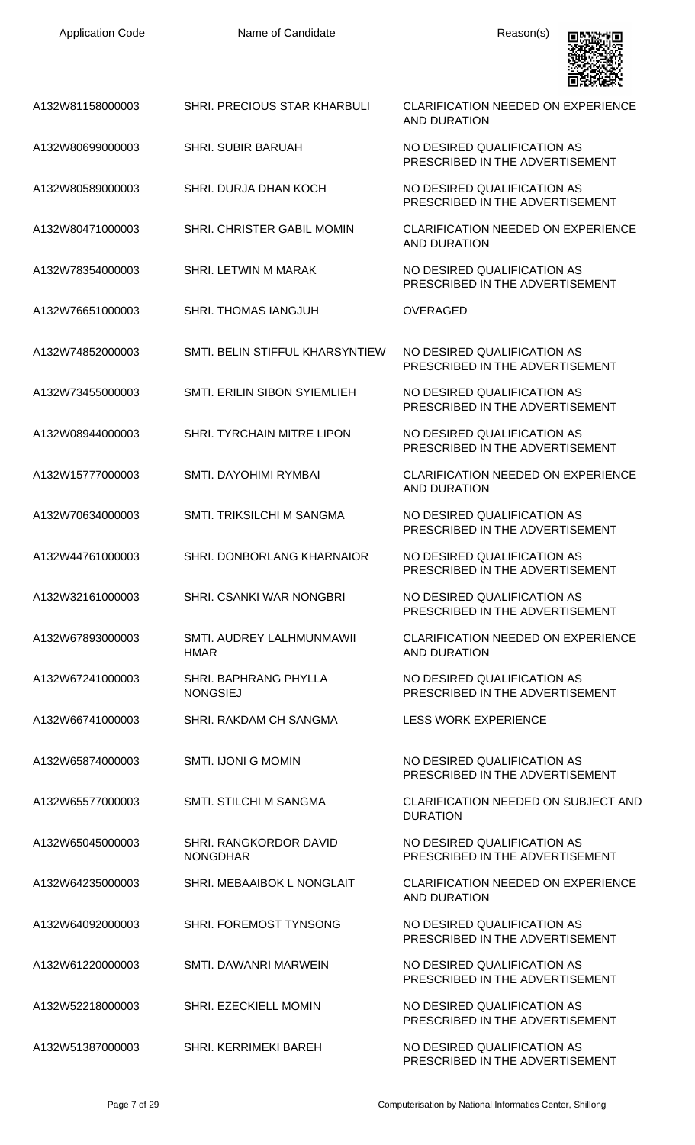| <b>Application Code</b> | Name of Candidate                         | Reason(s)                                                        |
|-------------------------|-------------------------------------------|------------------------------------------------------------------|
| A132W81158000003        | SHRI. PRECIOUS STAR KHARBULI              | <b>CLARIFICATION NEEDED ON EXPERIENCE</b><br>AND DURATION        |
| A132W80699000003        | <b>SHRI. SUBIR BARUAH</b>                 | NO DESIRED QUALIFICATION AS<br>PRESCRIBED IN THE ADVERTISEMENT   |
| A132W80589000003        | SHRI. DURJA DHAN KOCH                     | NO DESIRED QUALIFICATION AS<br>PRESCRIBED IN THE ADVERTISEMENT   |
| A132W80471000003        | SHRI. CHRISTER GABIL MOMIN                | <b>CLARIFICATION NEEDED ON EXPERIENCE</b><br>AND DURATION        |
| A132W78354000003        | SHRI. LETWIN M MARAK                      | NO DESIRED QUALIFICATION AS<br>PRESCRIBED IN THE ADVERTISEMENT   |
| A132W76651000003        | SHRI. THOMAS IANGJUH                      | <b>OVERAGED</b>                                                  |
| A132W74852000003        | SMTI. BELIN STIFFUL KHARSYNTIEW           | NO DESIRED QUALIFICATION AS<br>PRESCRIBED IN THE ADVERTISEMENT   |
| A132W73455000003        | SMTI. ERILIN SIBON SYIEMLIEH              | NO DESIRED QUALIFICATION AS<br>PRESCRIBED IN THE ADVERTISEMENT   |
| A132W08944000003        | <b>SHRI. TYRCHAIN MITRE LIPON</b>         | NO DESIRED QUALIFICATION AS<br>PRESCRIBED IN THE ADVERTISEMENT   |
| A132W15777000003        | SMTI. DAYOHIMI RYMBAI                     | <b>CLARIFICATION NEEDED ON EXPERIENCE</b><br><b>AND DURATION</b> |
| A132W70634000003        | SMTI. TRIKSILCHI M SANGMA                 | NO DESIRED QUALIFICATION AS<br>PRESCRIBED IN THE ADVERTISEMENT   |
| A132W44761000003        | SHRI. DONBORLANG KHARNAIOR                | NO DESIRED QUALIFICATION AS<br>PRESCRIBED IN THE ADVERTISEMENT   |
| A132W32161000003        | SHRI. CSANKI WAR NONGBRI                  | NO DESIRED QUALIFICATION AS<br>PRESCRIBED IN THE ADVERTISEMENT   |
| A132W67893000003        | SMTI. AUDREY LALHMUNMAWII<br><b>HMAR</b>  | <b>CLARIFICATION NEEDED ON EXPERIENCE</b><br>AND DURATION        |
| A132W67241000003        | SHRI. BAPHRANG PHYLLA<br><b>NONGSIEJ</b>  | NO DESIRED QUALIFICATION AS<br>PRESCRIBED IN THE ADVERTISEMENT   |
| A132W66741000003        | SHRI. RAKDAM CH SANGMA                    | <b>LESS WORK EXPERIENCE</b>                                      |
| A132W65874000003        | <b>SMTI. IJONI G MOMIN</b>                | NO DESIRED QUALIFICATION AS<br>PRESCRIBED IN THE ADVERTISEMENT   |
| A132W65577000003        | <b>SMTI. STILCHI M SANGMA</b>             | <b>CLARIFICATION NEEDED ON SUBJECT AND</b><br><b>DURATION</b>    |
| A132W65045000003        | SHRI. RANGKORDOR DAVID<br><b>NONGDHAR</b> | NO DESIRED QUALIFICATION AS<br>PRESCRIBED IN THE ADVERTISEMENT   |
| A132W64235000003        | SHRI. MEBAAIBOK L NONGLAIT                | <b>CLARIFICATION NEEDED ON EXPERIENCE</b><br><b>AND DURATION</b> |
| A132W64092000003        | SHRI. FOREMOST TYNSONG                    | NO DESIRED QUALIFICATION AS<br>PRESCRIBED IN THE ADVERTISEMENT   |
| A132W61220000003        | SMTI. DAWANRI MARWEIN                     | NO DESIRED QUALIFICATION AS<br>PRESCRIBED IN THE ADVERTISEMENT   |
| A132W52218000003        | <b>SHRI. EZECKIELL MOMIN</b>              | NO DESIRED QUALIFICATION AS<br>PRESCRIBED IN THE ADVERTISEMENT   |
| A132W51387000003        | SHRI. KERRIMEKI BAREH                     | NO DESIRED QUALIFICATION AS<br>PRESCRIBED IN THE ADVERTISEMENT   |

Application Code **Name of Candidate Name of Candidate** Reason(s)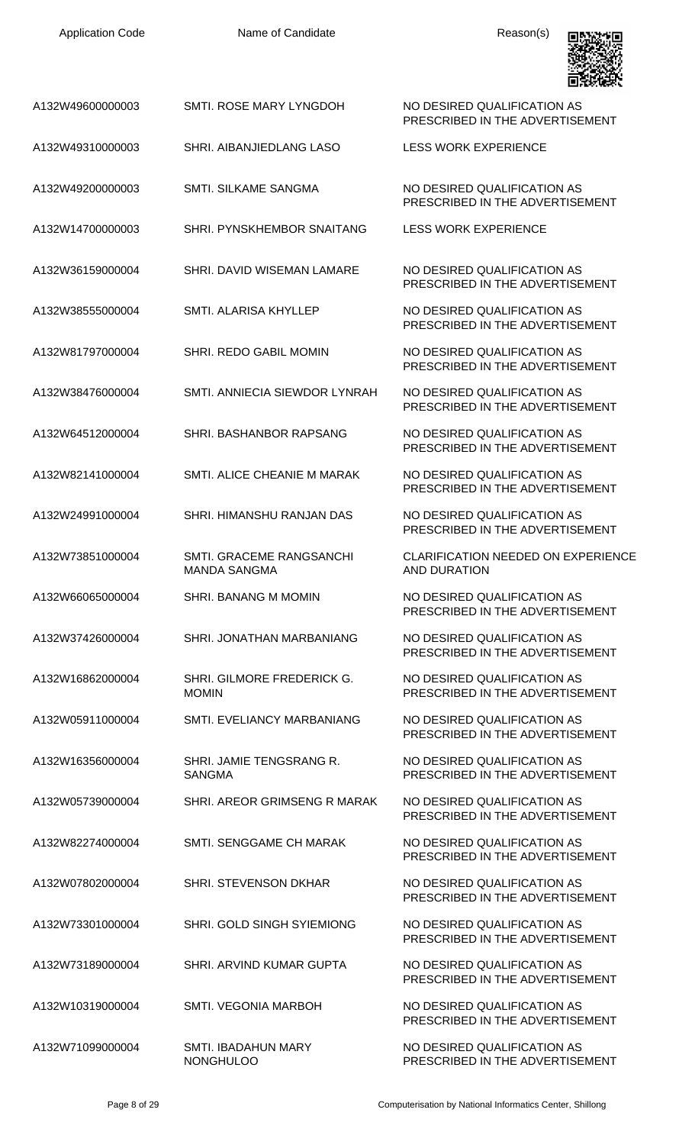| <b>Application Code</b> | Name of Candidate                               | Reason(s)                                                        |
|-------------------------|-------------------------------------------------|------------------------------------------------------------------|
| A132W49600000003        | SMTL ROSE MARY LYNGDOH                          | NO DESIRED QUALIFICATION AS<br>PRESCRIBED IN THE ADVERTISEMENT   |
| A132W49310000003        | SHRI, AIBANJIEDLANG LASO                        | <b>LESS WORK EXPERIENCE</b>                                      |
| A132W49200000003        | <b>SMTI. SILKAME SANGMA</b>                     | NO DESIRED QUALIFICATION AS<br>PRESCRIBED IN THE ADVERTISEMENT   |
| A132W14700000003        | SHRI. PYNSKHEMBOR SNAITANG                      | <b>LESS WORK EXPERIENCE</b>                                      |
| A132W36159000004        | SHRI. DAVID WISEMAN LAMARE                      | NO DESIRED QUALIFICATION AS<br>PRESCRIBED IN THE ADVERTISEMENT   |
| A132W38555000004        | SMTI. ALARISA KHYLLEP                           | NO DESIRED QUALIFICATION AS<br>PRESCRIBED IN THE ADVERTISEMENT   |
| A132W81797000004        | SHRI. REDO GABIL MOMIN                          | NO DESIRED QUALIFICATION AS<br>PRESCRIBED IN THE ADVERTISEMENT   |
| A132W38476000004        | SMTI. ANNIECIA SIEWDOR LYNRAH                   | NO DESIRED QUALIFICATION AS<br>PRESCRIBED IN THE ADVERTISEMENT   |
| A132W64512000004        | SHRI. BASHANBOR RAPSANG                         | NO DESIRED QUALIFICATION AS<br>PRESCRIBED IN THE ADVERTISEMENT   |
| A132W82141000004        | SMTI. ALICE CHEANIE M MARAK                     | NO DESIRED QUALIFICATION AS<br>PRESCRIBED IN THE ADVERTISEMENT   |
| A132W24991000004        | SHRI. HIMANSHU RANJAN DAS                       | NO DESIRED QUALIFICATION AS<br>PRESCRIBED IN THE ADVERTISEMENT   |
| A132W73851000004        | SMTI. GRACEME RANGSANCHI<br><b>MANDA SANGMA</b> | <b>CLARIFICATION NEEDED ON EXPERIENCE</b><br><b>AND DURATION</b> |
| A132W66065000004        | SHRI. BANANG M MOMIN                            | NO DESIRED QUALIFICATION AS<br>PRESCRIBED IN THE ADVERTISEMENT   |
| A132W37426000004        | SHRI. JONATHAN MARBANIANG                       | NO DESIRED QUALIFICATION AS<br>PRESCRIBED IN THE ADVERTISEMENT   |
| A132W16862000004        | SHRI. GILMORE FREDERICK G.<br><b>MOMIN</b>      | NO DESIRED QUALIFICATION AS<br>PRESCRIBED IN THE ADVERTISEMENT   |
| A132W05911000004        | SMTI. EVELIANCY MARBANIANG                      | NO DESIRED QUALIFICATION AS<br>PRESCRIBED IN THE ADVERTISEMENT   |
| A132W16356000004        | SHRI. JAMIE TENGSRANG R.<br><b>SANGMA</b>       | NO DESIRED QUALIFICATION AS<br>PRESCRIBED IN THE ADVERTISEMENT   |
| A132W05739000004        | SHRI. AREOR GRIMSENG R MARAK                    | NO DESIRED QUALIFICATION AS<br>PRESCRIBED IN THE ADVERTISEMENT   |
| A132W82274000004        | SMTI. SENGGAME CH MARAK                         | NO DESIRED QUALIFICATION AS<br>PRESCRIBED IN THE ADVERTISEMENT   |
| A132W07802000004        | <b>SHRI. STEVENSON DKHAR</b>                    | NO DESIRED QUALIFICATION AS<br>PRESCRIBED IN THE ADVERTISEMENT   |
| A132W73301000004        | SHRI. GOLD SINGH SYIEMIONG                      | NO DESIRED QUALIFICATION AS<br>PRESCRIBED IN THE ADVERTISEMENT   |
| A132W73189000004        | SHRI. ARVIND KUMAR GUPTA                        | NO DESIRED QUALIFICATION AS<br>PRESCRIBED IN THE ADVERTISEMENT   |
| A132W10319000004        | <b>SMTI. VEGONIA MARBOH</b>                     | NO DESIRED QUALIFICATION AS<br>PRESCRIBED IN THE ADVERTISEMENT   |
| A132W71099000004        | SMTI. IBADAHUN MARY<br><b>NONGHULOO</b>         | NO DESIRED QUALIFICATION AS<br>PRESCRIBED IN THE ADVERTISEMENT   |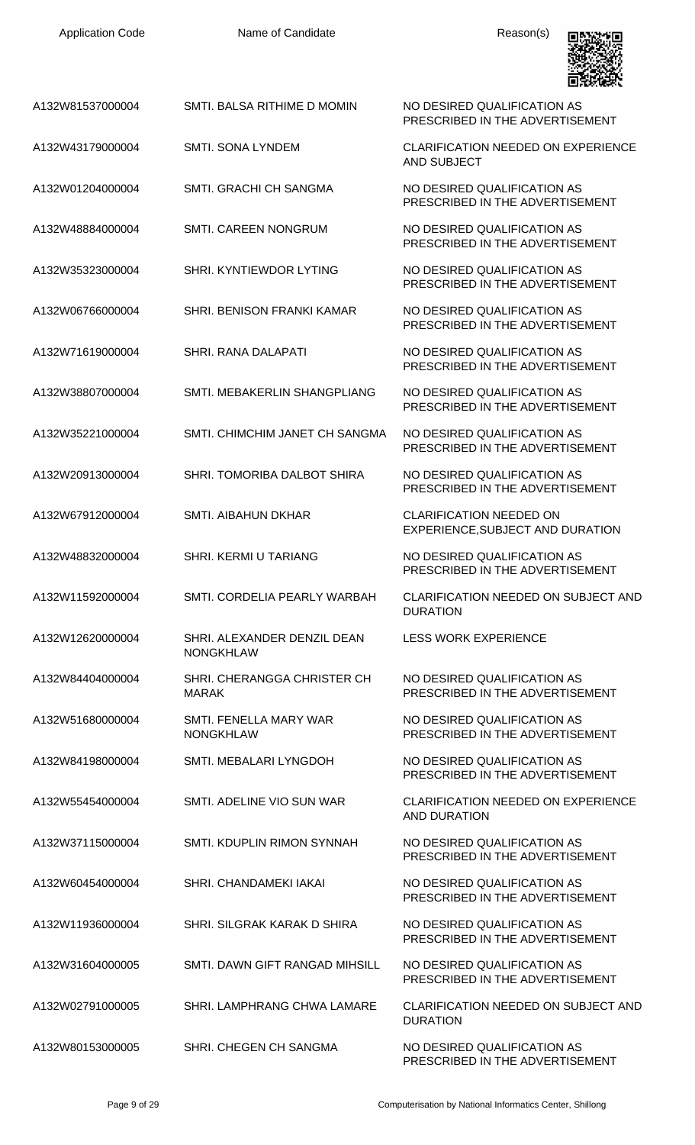| <b>Application Code</b> | Name of Candidate                               | Reason(s)                                                          |
|-------------------------|-------------------------------------------------|--------------------------------------------------------------------|
| A132W81537000004        | SMTI. BALSA RITHIME D MOMIN                     | NO DESIRED QUALIFICATION AS<br>PRESCRIBED IN THE ADVERTISEMENT     |
| A132W43179000004        | <b>SMTI. SONA LYNDEM</b>                        | <b>CLARIFICATION NEEDED ON EXPERIENCE</b><br><b>AND SUBJECT</b>    |
| A132W01204000004        | <b>SMTI. GRACHI CH SANGMA</b>                   | NO DESIRED QUALIFICATION AS<br>PRESCRIBED IN THE ADVERTISEMENT     |
| A132W48884000004        | <b>SMTI. CAREEN NONGRUM</b>                     | NO DESIRED QUALIFICATION AS<br>PRESCRIBED IN THE ADVERTISEMENT     |
| A132W35323000004        | SHRI, KYNTIEWDOR LYTING                         | NO DESIRED QUALIFICATION AS<br>PRESCRIBED IN THE ADVERTISEMENT     |
| A132W06766000004        | SHRI, BENISON FRANKI KAMAR                      | NO DESIRED QUALIFICATION AS<br>PRESCRIBED IN THE ADVERTISEMENT     |
| A132W71619000004        | SHRI, RANA DALAPATI                             | NO DESIRED QUALIFICATION AS<br>PRESCRIBED IN THE ADVERTISEMENT     |
| A132W38807000004        | SMTI. MEBAKERLIN SHANGPLIANG                    | NO DESIRED QUALIFICATION AS<br>PRESCRIBED IN THE ADVERTISEMENT     |
| A132W35221000004        | SMTI. CHIMCHIM JANET CH SANGMA                  | NO DESIRED QUALIFICATION AS<br>PRESCRIBED IN THE ADVERTISEMENT     |
| A132W20913000004        | SHRI. TOMORIBA DALBOT SHIRA                     | NO DESIRED QUALIFICATION AS<br>PRESCRIBED IN THE ADVERTISEMENT     |
| A132W67912000004        | <b>SMTI. AIBAHUN DKHAR</b>                      | <b>CLARIFICATION NEEDED ON</b><br>EXPERIENCE, SUBJECT AND DURATION |
| A132W48832000004        | SHRI. KERMI U TARIANG                           | NO DESIRED QUALIFICATION AS<br>PRESCRIBED IN THE ADVERTISEMENT     |
| A132W11592000004        | SMTI. CORDELIA PEARLY WARBAH                    | <b>CLARIFICATION NEEDED ON SUBJECT AND</b><br><b>DURATION</b>      |
| A132W12620000004        | SHRI. ALEXANDER DENZIL DEAN<br><b>NONGKHLAW</b> | <b>LESS WORK EXPERIENCE</b>                                        |
| A132W84404000004        | SHRI. CHERANGGA CHRISTER CH<br><b>MARAK</b>     | NO DESIRED QUALIFICATION AS<br>PRESCRIBED IN THE ADVERTISEMENT     |
| A132W51680000004        | SMTI. FENELLA MARY WAR<br><b>NONGKHLAW</b>      | NO DESIRED QUALIFICATION AS<br>PRESCRIBED IN THE ADVERTISEMENT     |
| A132W84198000004        | SMTI. MEBALARI LYNGDOH                          | NO DESIRED QUALIFICATION AS<br>PRESCRIBED IN THE ADVERTISEMENT     |
| A132W55454000004        | SMTI. ADELINE VIO SUN WAR                       | CLARIFICATION NEEDED ON EXPERIENCE<br><b>AND DURATION</b>          |
| A132W37115000004        | SMTI. KDUPLIN RIMON SYNNAH                      | NO DESIRED QUALIFICATION AS<br>PRESCRIBED IN THE ADVERTISEMENT     |
| A132W60454000004        | SHRI. CHANDAMEKI IAKAI                          | NO DESIRED QUALIFICATION AS<br>PRESCRIBED IN THE ADVERTISEMENT     |
| A132W11936000004        | SHRI. SILGRAK KARAK D SHIRA                     | NO DESIRED QUALIFICATION AS<br>PRESCRIBED IN THE ADVERTISEMENT     |
| A132W31604000005        | SMTI. DAWN GIFT RANGAD MIHSILL                  | NO DESIRED QUALIFICATION AS<br>PRESCRIBED IN THE ADVERTISEMENT     |
| A132W02791000005        | SHRI. LAMPHRANG CHWA LAMARE                     | <b>CLARIFICATION NEEDED ON SUBJECT AND</b><br><b>DURATION</b>      |
| A132W80153000005        | SHRI. CHEGEN CH SANGMA                          | NO DESIRED QUALIFICATION AS<br>PRESCRIBED IN THE ADVERTISEMENT     |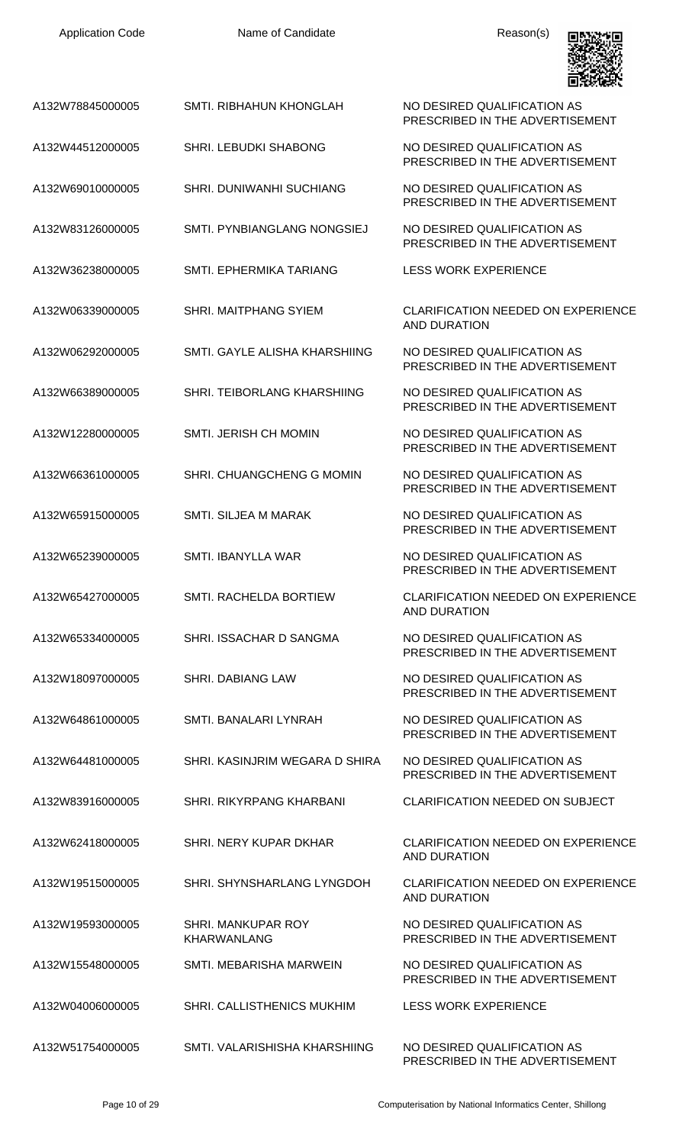| <b>Application Code</b> | Name of Candidate                        | Reason(s)                                                        |
|-------------------------|------------------------------------------|------------------------------------------------------------------|
| A132W78845000005        | <b>SMTI. RIBHAHUN KHONGLAH</b>           | NO DESIRED QUALIFICATION AS<br>PRESCRIBED IN THE ADVERTISEMENT   |
| A132W44512000005        | SHRI. LEBUDKI SHABONG                    | NO DESIRED QUALIFICATION AS<br>PRESCRIBED IN THE ADVERTISEMENT   |
| A132W69010000005        | SHRI. DUNIWANHI SUCHIANG                 | NO DESIRED QUALIFICATION AS<br>PRESCRIBED IN THE ADVERTISEMENT   |
| A132W83126000005        | SMTI. PYNBIANGLANG NONGSIEJ              | NO DESIRED QUALIFICATION AS<br>PRESCRIBED IN THE ADVERTISEMENT   |
| A132W36238000005        | <b>SMTI. EPHERMIKA TARIANG</b>           | <b>LESS WORK EXPERIENCE</b>                                      |
| A132W06339000005        | <b>SHRI. MAITPHANG SYIEM</b>             | <b>CLARIFICATION NEEDED ON EXPERIENCE</b><br><b>AND DURATION</b> |
| A132W06292000005        | SMTI, GAYLE ALISHA KHARSHIING            | NO DESIRED QUALIFICATION AS<br>PRESCRIBED IN THE ADVERTISEMENT   |
| A132W66389000005        | SHRI. TEIBORLANG KHARSHIING              | NO DESIRED QUALIFICATION AS<br>PRESCRIBED IN THE ADVERTISEMENT   |
| A132W12280000005        | SMTI. JERISH CH MOMIN                    | NO DESIRED QUALIFICATION AS<br>PRESCRIBED IN THE ADVERTISEMENT   |
| A132W66361000005        | SHRI. CHUANGCHENG G MOMIN                | NO DESIRED QUALIFICATION AS<br>PRESCRIBED IN THE ADVERTISEMENT   |
| A132W65915000005        | <b>SMTI. SILJEA M MARAK</b>              | NO DESIRED QUALIFICATION AS<br>PRESCRIBED IN THE ADVERTISEMENT   |
| A132W65239000005        | SMTI. IBANYLLA WAR                       | NO DESIRED QUALIFICATION AS<br>PRESCRIBED IN THE ADVERTISEMENT   |
| A132W65427000005        | SMTI. RACHELDA BORTIEW                   | <b>CLARIFICATION NEEDED ON EXPERIENCE</b><br><b>AND DURATION</b> |
| A132W65334000005        | SHRI. ISSACHAR D SANGMA                  | NO DESIRED QUALIFICATION AS<br>PRESCRIBED IN THE ADVERTISEMENT   |
| A132W18097000005        | <b>SHRI. DABIANG LAW</b>                 | NO DESIRED QUALIFICATION AS<br>PRESCRIBED IN THE ADVERTISEMENT   |
| A132W64861000005        | SMTI. BANALARI LYNRAH                    | NO DESIRED QUALIFICATION AS<br>PRESCRIBED IN THE ADVERTISEMENT   |
| A132W64481000005        | SHRI. KASINJRIM WEGARA D SHIRA           | NO DESIRED QUALIFICATION AS<br>PRESCRIBED IN THE ADVERTISEMENT   |
| A132W83916000005        | <b>SHRI, RIKYRPANG KHARBANI</b>          | <b>CLARIFICATION NEEDED ON SUBJECT</b>                           |
| A132W62418000005        | SHRI. NERY KUPAR DKHAR                   | <b>CLARIFICATION NEEDED ON EXPERIENCE</b><br><b>AND DURATION</b> |
| A132W19515000005        | SHRI. SHYNSHARLANG LYNGDOH               | <b>CLARIFICATION NEEDED ON EXPERIENCE</b><br><b>AND DURATION</b> |
| A132W19593000005        | SHRI. MANKUPAR ROY<br><b>KHARWANLANG</b> | NO DESIRED QUALIFICATION AS<br>PRESCRIBED IN THE ADVERTISEMENT   |
| A132W15548000005        | SMTI, MEBARISHA MARWEIN                  | NO DESIRED QUALIFICATION AS<br>PRESCRIBED IN THE ADVERTISEMENT   |
| A132W04006000005        | SHRI. CALLISTHENICS MUKHIM               | <b>LESS WORK EXPERIENCE</b>                                      |
| A132W51754000005        | SMTI. VALARISHISHA KHARSHIING            | NO DESIRED QUALIFICATION AS<br>PRESCRIBED IN THE ADVERTISEMENT   |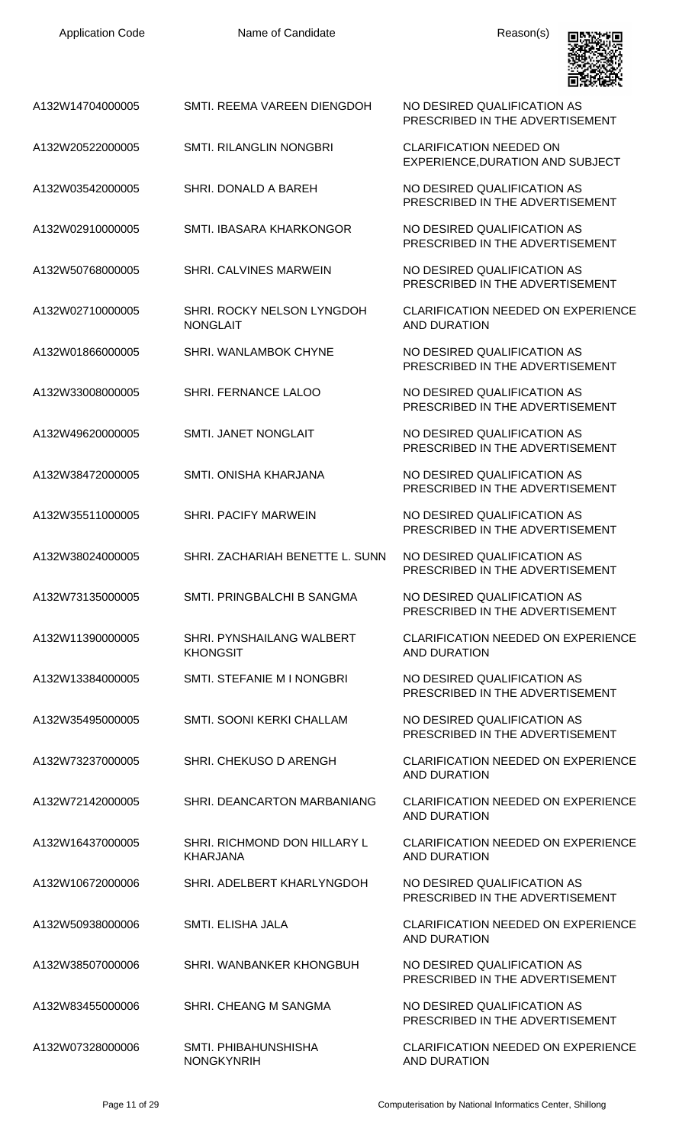| <b>Application Code</b> | Name of Candidate                               | Reason(s)                                                          |
|-------------------------|-------------------------------------------------|--------------------------------------------------------------------|
| A132W14704000005        | SMTI. REEMA VAREEN DIENGDOH                     | NO DESIRED QUALIFICATION AS<br>PRESCRIBED IN THE ADVERTISEMENT     |
| A132W20522000005        | <b>SMTI. RILANGLIN NONGBRI</b>                  | <b>CLARIFICATION NEEDED ON</b><br>EXPERIENCE, DURATION AND SUBJECT |
| A132W03542000005        | SHRI. DONALD A BAREH                            | NO DESIRED QUALIFICATION AS<br>PRESCRIBED IN THE ADVERTISEMENT     |
| A132W02910000005        | SMTI. IBASARA KHARKONGOR                        | NO DESIRED QUALIFICATION AS<br>PRESCRIBED IN THE ADVERTISEMENT     |
| A132W50768000005        | SHRI. CALVINES MARWEIN                          | NO DESIRED QUALIFICATION AS<br>PRESCRIBED IN THE ADVERTISEMENT     |
| A132W02710000005        | SHRI. ROCKY NELSON LYNGDOH<br><b>NONGLAIT</b>   | <b>CLARIFICATION NEEDED ON EXPERIENCE</b><br><b>AND DURATION</b>   |
| A132W01866000005        | SHRI. WANLAMBOK CHYNE                           | NO DESIRED QUALIFICATION AS<br>PRESCRIBED IN THE ADVERTISEMENT     |
| A132W33008000005        | SHRI. FERNANCE LALOO                            | NO DESIRED QUALIFICATION AS<br>PRESCRIBED IN THE ADVERTISEMENT     |
| A132W49620000005        | SMTI. JANET NONGLAIT                            | NO DESIRED QUALIFICATION AS<br>PRESCRIBED IN THE ADVERTISEMENT     |
| A132W38472000005        | SMTI. ONISHA KHARJANA                           | NO DESIRED QUALIFICATION AS<br>PRESCRIBED IN THE ADVERTISEMENT     |
| A132W35511000005        | <b>SHRI. PACIFY MARWEIN</b>                     | NO DESIRED QUALIFICATION AS<br>PRESCRIBED IN THE ADVERTISEMENT     |
| A132W38024000005        | SHRI. ZACHARIAH BENETTE L. SUNN                 | NO DESIRED QUALIFICATION AS<br>PRESCRIBED IN THE ADVERTISEMENT     |
| A132W73135000005        | SMTI. PRINGBALCHI B SANGMA                      | NO DESIRED QUALIFICATION AS<br>PRESCRIBED IN THE ADVERTISEMENT     |
| A132W11390000005        | SHRI. PYNSHAILANG WALBERT<br><b>KHONGSIT</b>    | <b>CLARIFICATION NEEDED ON EXPERIENCE</b><br><b>AND DURATION</b>   |
| A132W13384000005        | SMTL STEFANIE M I NONGBRI                       | NO DESIRED QUALIFICATION AS<br>PRESCRIBED IN THE ADVERTISEMENT     |
| A132W35495000005        | SMTI. SOONI KERKI CHALLAM                       | NO DESIRED QUALIFICATION AS<br>PRESCRIBED IN THE ADVERTISEMENT     |
| A132W73237000005        | SHRI. CHEKUSO D ARENGH                          | <b>CLARIFICATION NEEDED ON EXPERIENCE</b><br><b>AND DURATION</b>   |
| A132W72142000005        | SHRI. DEANCARTON MARBANIANG                     | <b>CLARIFICATION NEEDED ON EXPERIENCE</b><br><b>AND DURATION</b>   |
| A132W16437000005        | SHRI. RICHMOND DON HILLARY L<br><b>KHARJANA</b> | <b>CLARIFICATION NEEDED ON EXPERIENCE</b><br><b>AND DURATION</b>   |
| A132W10672000006        | SHRI. ADELBERT KHARLYNGDOH                      | NO DESIRED QUALIFICATION AS<br>PRESCRIBED IN THE ADVERTISEMENT     |
| A132W50938000006        | SMTI. ELISHA JALA                               | <b>CLARIFICATION NEEDED ON EXPERIENCE</b><br><b>AND DURATION</b>   |
| A132W38507000006        | SHRI. WANBANKER KHONGBUH                        | NO DESIRED QUALIFICATION AS<br>PRESCRIBED IN THE ADVERTISEMENT     |
| A132W83455000006        | SHRI. CHEANG M SANGMA                           | NO DESIRED QUALIFICATION AS<br>PRESCRIBED IN THE ADVERTISEMENT     |
| A132W07328000006        | SMTI. PHIBAHUNSHISHA<br>NONGKYNRIH              | <b>CLARIFICATION NEEDED ON EXPERIENCE</b><br>AND DURATION          |

Application Code **Name of Candidate** Application Code Reason(s)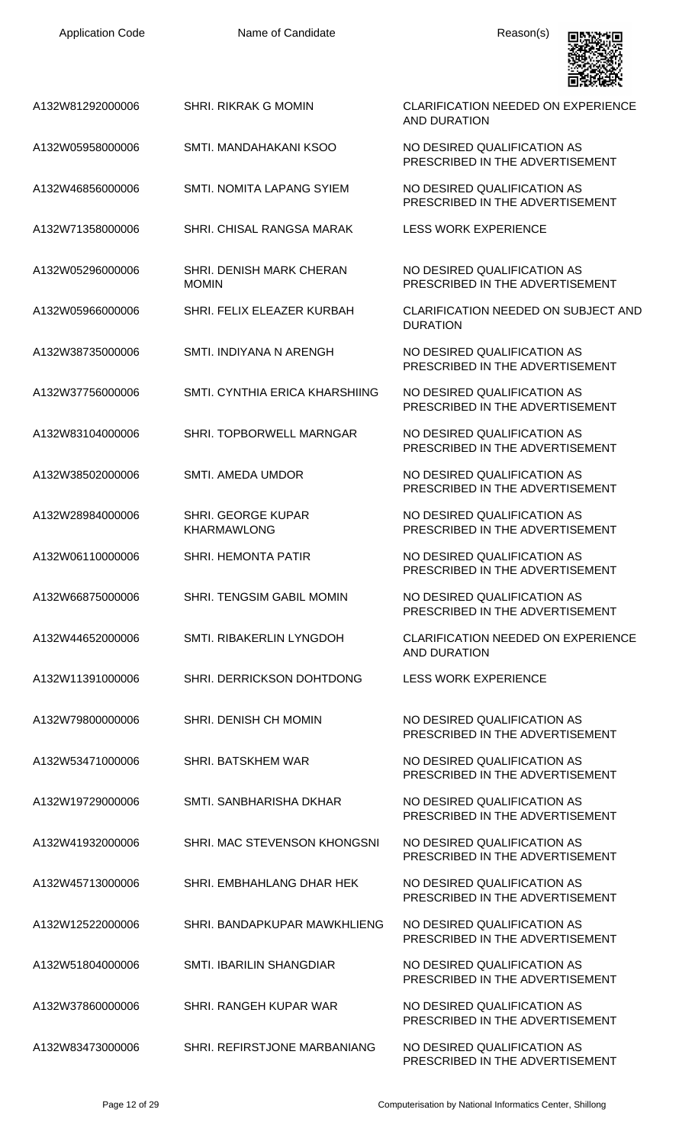| <b>Application Code</b> | Name of Candidate                               | Reason(s)                                                        |
|-------------------------|-------------------------------------------------|------------------------------------------------------------------|
| A132W81292000006        | <b>SHRI. RIKRAK G MOMIN</b>                     | <b>CLARIFICATION NEEDED ON EXPERIENCE</b><br><b>AND DURATION</b> |
| A132W05958000006        | SMTI. MANDAHAKANI KSOO                          | NO DESIRED QUALIFICATION AS<br>PRESCRIBED IN THE ADVERTISEMENT   |
| A132W46856000006        | SMTI, NOMITA LAPANG SYIEM                       | NO DESIRED QUALIFICATION AS<br>PRESCRIBED IN THE ADVERTISEMENT   |
| A132W71358000006        | SHRI. CHISAL RANGSA MARAK                       | <b>LESS WORK EXPERIENCE</b>                                      |
| A132W05296000006        | SHRI. DENISH MARK CHERAN<br><b>MOMIN</b>        | NO DESIRED QUALIFICATION AS<br>PRESCRIBED IN THE ADVERTISEMENT   |
| A132W05966000006        | SHRI. FELIX ELEAZER KURBAH                      | <b>CLARIFICATION NEEDED ON SUBJECT AND</b><br><b>DURATION</b>    |
| A132W38735000006        | SMTI. INDIYANA N ARENGH                         | NO DESIRED QUALIFICATION AS<br>PRESCRIBED IN THE ADVERTISEMENT   |
| A132W37756000006        | SMTI, CYNTHIA ERICA KHARSHIING                  | NO DESIRED QUALIFICATION AS<br>PRESCRIBED IN THE ADVERTISEMENT   |
| A132W83104000006        | SHRI. TOPBORWELL MARNGAR                        | NO DESIRED QUALIFICATION AS<br>PRESCRIBED IN THE ADVERTISEMENT   |
| A132W38502000006        | <b>SMTI. AMEDA UMDOR</b>                        | NO DESIRED QUALIFICATION AS<br>PRESCRIBED IN THE ADVERTISEMENT   |
| A132W28984000006        | <b>SHRI. GEORGE KUPAR</b><br><b>KHARMAWLONG</b> | NO DESIRED QUALIFICATION AS<br>PRESCRIBED IN THE ADVERTISEMENT   |
| A132W06110000006        | <b>SHRI. HEMONTA PATIR</b>                      | NO DESIRED QUALIFICATION AS<br>PRESCRIBED IN THE ADVERTISEMENT   |
| A132W66875000006        | SHRI. TENGSIM GABIL MOMIN                       | NO DESIRED QUALIFICATION AS<br>PRESCRIBED IN THE ADVERTISEMENT   |
| A132W44652000006        | SMTI. RIBAKERLIN LYNGDOH                        | <b>CLARIFICATION NEEDED ON EXPERIENCE</b><br><b>AND DURATION</b> |
| A132W11391000006        | SHRI. DERRICKSON DOHTDONG                       | <b>LESS WORK EXPERIENCE</b>                                      |
| A132W79800000006        | <b>SHRI. DENISH CH MOMIN</b>                    | NO DESIRED QUALIFICATION AS<br>PRESCRIBED IN THE ADVERTISEMENT   |
| A132W53471000006        | SHRI. BATSKHEM WAR                              | NO DESIRED QUALIFICATION AS<br>PRESCRIBED IN THE ADVERTISEMENT   |
| A132W19729000006        | SMTI. SANBHARISHA DKHAR                         | NO DESIRED QUALIFICATION AS<br>PRESCRIBED IN THE ADVERTISEMENT   |
| A132W41932000006        | SHRI. MAC STEVENSON KHONGSNI                    | NO DESIRED QUALIFICATION AS<br>PRESCRIBED IN THE ADVERTISEMENT   |
| A132W45713000006        | SHRI. EMBHAHLANG DHAR HEK                       | NO DESIRED QUALIFICATION AS<br>PRESCRIBED IN THE ADVERTISEMENT   |
| A132W12522000006        | SHRI. BANDAPKUPAR MAWKHLIENG                    | NO DESIRED QUALIFICATION AS<br>PRESCRIBED IN THE ADVERTISEMENT   |
| A132W51804000006        | SMTI. IBARILIN SHANGDIAR                        | NO DESIRED QUALIFICATION AS<br>PRESCRIBED IN THE ADVERTISEMENT   |
| A132W37860000006        | SHRI. RANGEH KUPAR WAR                          | NO DESIRED QUALIFICATION AS<br>PRESCRIBED IN THE ADVERTISEMENT   |
| A132W83473000006        | SHRI. REFIRSTJONE MARBANIANG                    | NO DESIRED QUALIFICATION AS<br>PRESCRIBED IN THE ADVERTISEMENT   |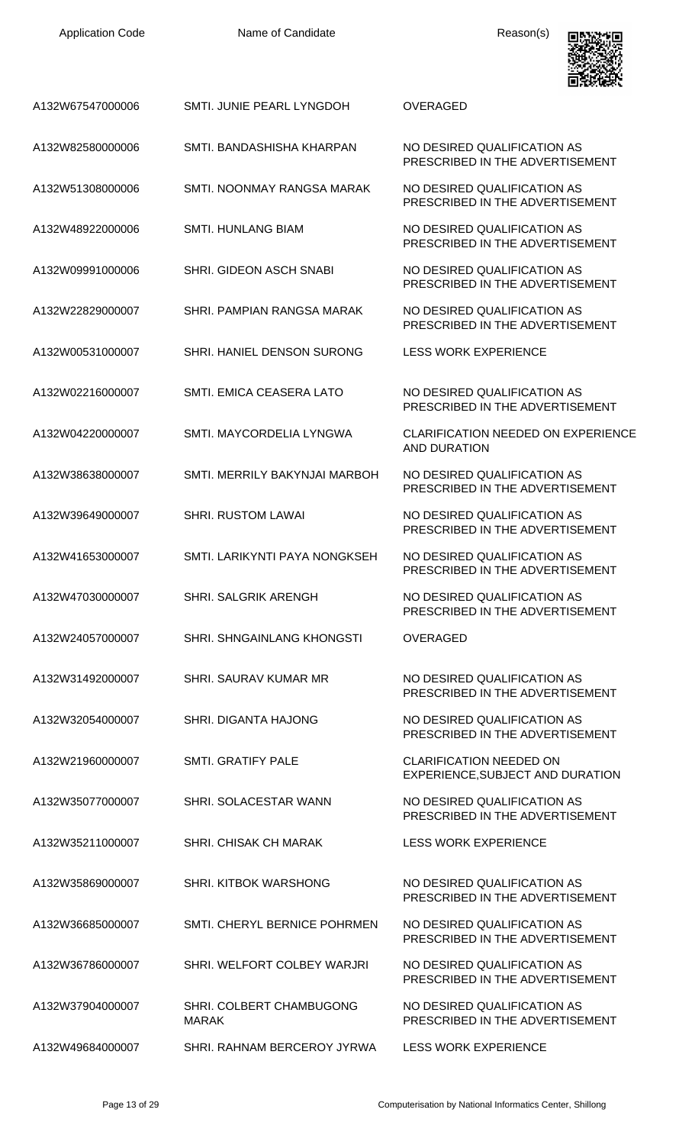| <b>Application Code</b> |  |
|-------------------------|--|
|-------------------------|--|

Name of Candidate **Reason(s)** 



| A132W67547000006 | SMTI. JUNIE PEARL LYNGDOH                | <b>OVERAGED</b>                                                    |
|------------------|------------------------------------------|--------------------------------------------------------------------|
| A132W82580000006 | SMTI. BANDASHISHA KHARPAN                | NO DESIRED QUALIFICATION AS<br>PRESCRIBED IN THE ADVERTISEMENT     |
| A132W51308000006 | SMTI. NOONMAY RANGSA MARAK               | NO DESIRED QUALIFICATION AS<br>PRESCRIBED IN THE ADVERTISEMENT     |
| A132W48922000006 | <b>SMTI. HUNLANG BIAM</b>                | NO DESIRED QUALIFICATION AS<br>PRESCRIBED IN THE ADVERTISEMENT     |
| A132W09991000006 | <b>SHRI. GIDEON ASCH SNABI</b>           | NO DESIRED QUALIFICATION AS<br>PRESCRIBED IN THE ADVERTISEMENT     |
| A132W22829000007 | SHRI. PAMPIAN RANGSA MARAK               | NO DESIRED QUALIFICATION AS<br>PRESCRIBED IN THE ADVERTISEMENT     |
| A132W00531000007 | SHRI. HANIEL DENSON SURONG               | <b>LESS WORK EXPERIENCE</b>                                        |
| A132W02216000007 | SMTI. EMICA CEASERA LATO                 | NO DESIRED QUALIFICATION AS<br>PRESCRIBED IN THE ADVERTISEMENT     |
| A132W04220000007 | SMTI. MAYCORDELIA LYNGWA                 | <b>CLARIFICATION NEEDED ON EXPERIENCE</b><br><b>AND DURATION</b>   |
| A132W38638000007 | SMTI. MERRILY BAKYNJAI MARBOH            | NO DESIRED QUALIFICATION AS<br>PRESCRIBED IN THE ADVERTISEMENT     |
| A132W39649000007 | <b>SHRI. RUSTOM LAWAI</b>                | NO DESIRED QUALIFICATION AS<br>PRESCRIBED IN THE ADVERTISEMENT     |
| A132W41653000007 | SMTI. LARIKYNTI PAYA NONGKSEH            | NO DESIRED QUALIFICATION AS<br>PRESCRIBED IN THE ADVERTISEMENT     |
| A132W47030000007 | SHRI. SALGRIK ARENGH                     | NO DESIRED QUALIFICATION AS<br>PRESCRIBED IN THE ADVERTISEMENT     |
| A132W24057000007 | <b>SHRI. SHNGAINLANG KHONGSTI</b>        | <b>OVERAGED</b>                                                    |
| A132W31492000007 | SHRI. SAURAV KUMAR MR                    | NO DESIRED QUALIFICATION AS<br>PRESCRIBED IN THE ADVERTISEMENT     |
| A132W32054000007 | SHRI, DIGANTA HAJONG                     | NO DESIRED QUALIFICATION AS<br>PRESCRIBED IN THE ADVERTISEMENT     |
| A132W21960000007 | <b>SMTI. GRATIFY PALE</b>                | <b>CLARIFICATION NEEDED ON</b><br>EXPERIENCE, SUBJECT AND DURATION |
| A132W35077000007 | SHRI. SOLACESTAR WANN                    | NO DESIRED QUALIFICATION AS<br>PRESCRIBED IN THE ADVERTISEMENT     |
| A132W35211000007 | <b>SHRI. CHISAK CH MARAK</b>             | <b>LESS WORK EXPERIENCE</b>                                        |
| A132W35869000007 | SHRI. KITBOK WARSHONG                    | NO DESIRED QUALIFICATION AS<br>PRESCRIBED IN THE ADVERTISEMENT     |
| A132W36685000007 | SMTI. CHERYL BERNICE POHRMEN             | NO DESIRED QUALIFICATION AS<br>PRESCRIBED IN THE ADVERTISEMENT     |
| A132W36786000007 | SHRI. WELFORT COLBEY WARJRI              | NO DESIRED QUALIFICATION AS<br>PRESCRIBED IN THE ADVERTISEMENT     |
| A132W37904000007 | SHRI. COLBERT CHAMBUGONG<br><b>MARAK</b> | NO DESIRED QUALIFICATION AS<br>PRESCRIBED IN THE ADVERTISEMENT     |
| A132W49684000007 | SHRI. RAHNAM BERCEROY JYRWA              | <b>LESS WORK EXPERIENCE</b>                                        |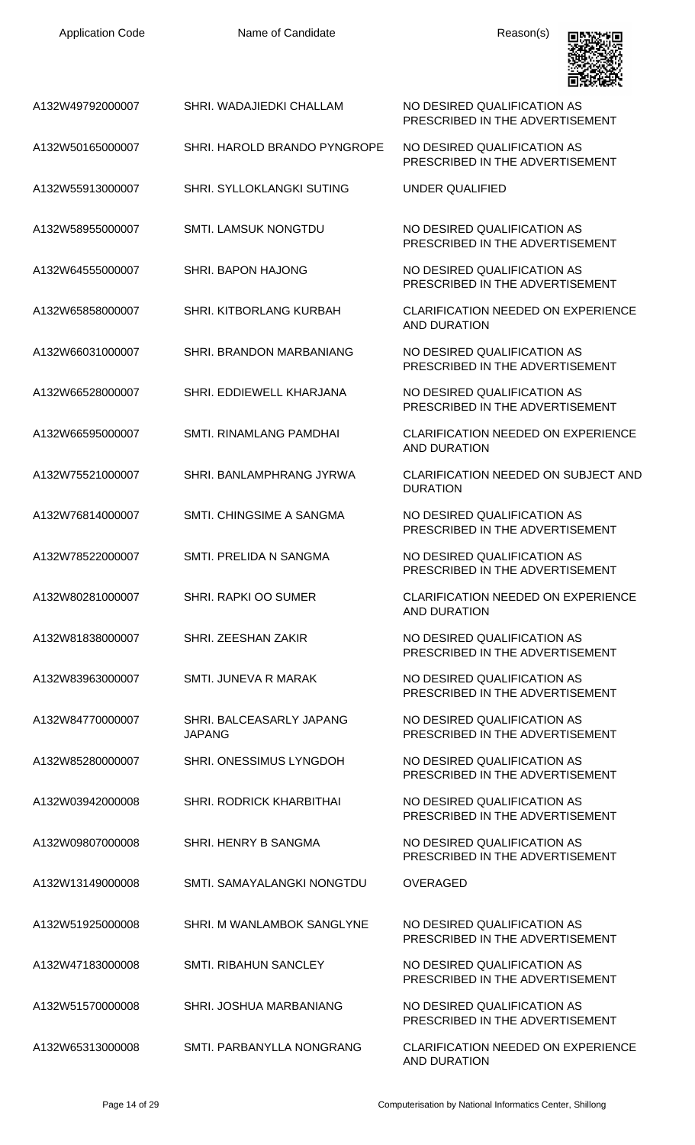| <b>Application Code</b> | Name of Candidate                         | Reason(s)                                                        |
|-------------------------|-------------------------------------------|------------------------------------------------------------------|
| A132W49792000007        | SHRI. WADAJIEDKI CHALLAM                  | NO DESIRED QUALIFICATION AS<br>PRESCRIBED IN THE ADVERTISEMENT   |
| A132W50165000007        | SHRI. HAROLD BRANDO PYNGROPE              | NO DESIRED QUALIFICATION AS<br>PRESCRIBED IN THE ADVERTISEMENT   |
| A132W55913000007        | SHRI. SYLLOKLANGKI SUTING                 | <b>UNDER QUALIFIED</b>                                           |
| A132W58955000007        | <b>SMTI. LAMSUK NONGTDU</b>               | NO DESIRED QUALIFICATION AS<br>PRESCRIBED IN THE ADVERTISEMENT   |
| A132W64555000007        | <b>SHRI. BAPON HAJONG</b>                 | NO DESIRED QUALIFICATION AS<br>PRESCRIBED IN THE ADVERTISEMENT   |
| A132W65858000007        | SHRI. KITBORLANG KURBAH                   | <b>CLARIFICATION NEEDED ON EXPERIENCE</b><br><b>AND DURATION</b> |
| A132W66031000007        | SHRI. BRANDON MARBANIANG                  | NO DESIRED QUALIFICATION AS<br>PRESCRIBED IN THE ADVERTISEMENT   |
| A132W66528000007        | SHRI. EDDIEWELL KHARJANA                  | NO DESIRED QUALIFICATION AS<br>PRESCRIBED IN THE ADVERTISEMENT   |
| A132W66595000007        | SMTI. RINAMLANG PAMDHAI                   | <b>CLARIFICATION NEEDED ON EXPERIENCE</b><br><b>AND DURATION</b> |
| A132W75521000007        | SHRI. BANLAMPHRANG JYRWA                  | <b>CLARIFICATION NEEDED ON SUBJECT AND</b><br><b>DURATION</b>    |
| A132W76814000007        | SMTI. CHINGSIME A SANGMA                  | NO DESIRED QUALIFICATION AS<br>PRESCRIBED IN THE ADVERTISEMENT   |
| A132W78522000007        | <b>SMTI. PRELIDA N SANGMA</b>             | NO DESIRED QUALIFICATION AS<br>PRESCRIBED IN THE ADVERTISEMENT   |
| A132W80281000007        | <b>SHRI, RAPKI OO SUMER</b>               | <b>CLARIFICATION NEEDED ON EXPERIENCE</b><br><b>AND DURATION</b> |
| A132W81838000007        | SHRI. ZEESHAN ZAKIR                       | NO DESIRED QUALIFICATION AS<br>PRESCRIBED IN THE ADVERTISEMENT   |
| A132W83963000007        | SMTL JUNEVA R MARAK                       | NO DESIRED QUALIFICATION AS<br>PRESCRIBED IN THE ADVERTISEMENT   |
| A132W84770000007        | SHRI. BALCEASARLY JAPANG<br><b>JAPANG</b> | NO DESIRED QUALIFICATION AS<br>PRESCRIBED IN THE ADVERTISEMENT   |
| A132W85280000007        | SHRI. ONESSIMUS LYNGDOH                   | NO DESIRED QUALIFICATION AS<br>PRESCRIBED IN THE ADVERTISEMENT   |
| A132W03942000008        | <b>SHRI. RODRICK KHARBITHAI</b>           | NO DESIRED QUALIFICATION AS<br>PRESCRIBED IN THE ADVERTISEMENT   |
| A132W09807000008        | SHRI. HENRY B SANGMA                      | NO DESIRED QUALIFICATION AS<br>PRESCRIBED IN THE ADVERTISEMENT   |
| A132W13149000008        | SMTI, SAMAYALANGKI NONGTDU                | <b>OVERAGED</b>                                                  |
| A132W51925000008        | SHRI. M WANLAMBOK SANGLYNE                | NO DESIRED QUALIFICATION AS<br>PRESCRIBED IN THE ADVERTISEMENT   |
| A132W47183000008        | <b>SMTI. RIBAHUN SANCLEY</b>              | NO DESIRED QUALIFICATION AS<br>PRESCRIBED IN THE ADVERTISEMENT   |
| A132W51570000008        | SHRI. JOSHUA MARBANIANG                   | NO DESIRED QUALIFICATION AS<br>PRESCRIBED IN THE ADVERTISEMENT   |
| A132W65313000008        | SMTI. PARBANYLLA NONGRANG                 | CLARIFICATION NEEDED ON EXPERIENCE                               |

AND DURATION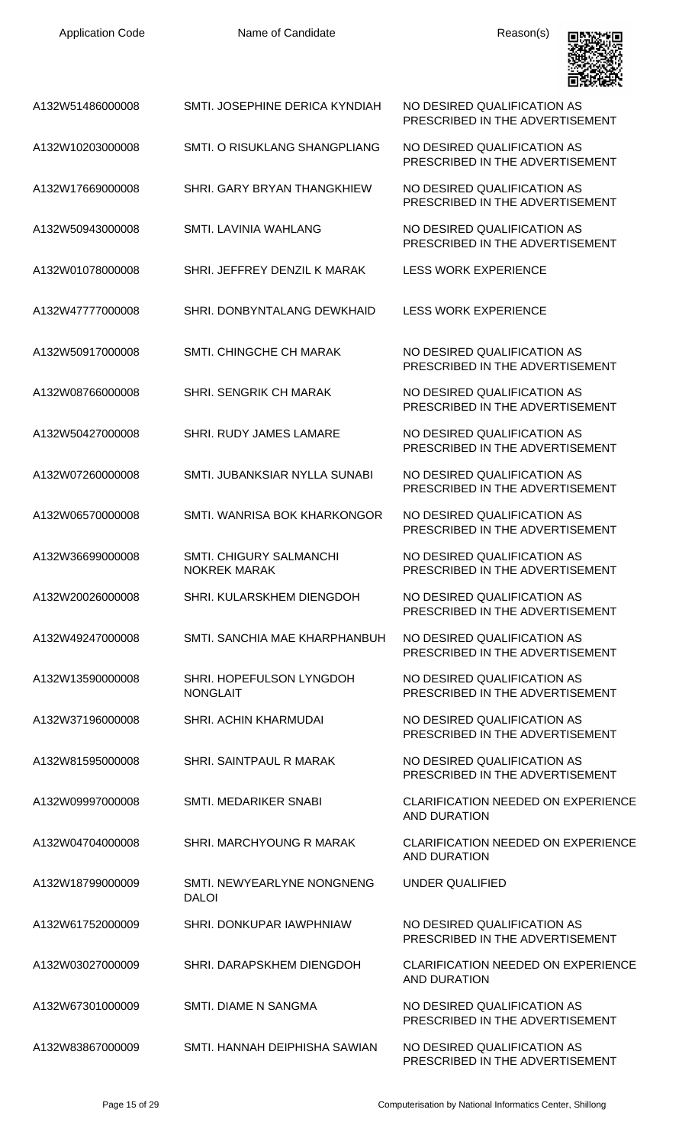| <b>Application Code</b> | Name of Candidate                                     | Reason(s)                                                        |
|-------------------------|-------------------------------------------------------|------------------------------------------------------------------|
| A132W51486000008        | SMTI. JOSEPHINE DERICA KYNDIAH                        | NO DESIRED QUALIFICATION AS<br>PRESCRIBED IN THE ADVERTISEMENT   |
| A132W10203000008        | SMTI, O RISUKLANG SHANGPLIANG                         | NO DESIRED QUALIFICATION AS<br>PRESCRIBED IN THE ADVERTISEMENT   |
| A132W17669000008        | SHRI. GARY BRYAN THANGKHIEW                           | NO DESIRED QUALIFICATION AS<br>PRESCRIBED IN THE ADVERTISEMENT   |
| A132W50943000008        | SMTI. LAVINIA WAHLANG                                 | NO DESIRED QUALIFICATION AS<br>PRESCRIBED IN THE ADVERTISEMENT   |
| A132W01078000008        | SHRI. JEFFREY DENZIL K MARAK                          | <b>LESS WORK EXPERIENCE</b>                                      |
| A132W47777000008        | SHRI. DONBYNTALANG DEWKHAID                           | <b>LESS WORK EXPERIENCE</b>                                      |
| A132W50917000008        | <b>SMTI. CHINGCHE CH MARAK</b>                        | NO DESIRED QUALIFICATION AS<br>PRESCRIBED IN THE ADVERTISEMENT   |
| A132W08766000008        | SHRI. SENGRIK CH MARAK                                | NO DESIRED QUALIFICATION AS<br>PRESCRIBED IN THE ADVERTISEMENT   |
| A132W50427000008        | SHRI. RUDY JAMES LAMARE                               | NO DESIRED QUALIFICATION AS<br>PRESCRIBED IN THE ADVERTISEMENT   |
| A132W07260000008        | SMTI. JUBANKSIAR NYLLA SUNABI                         | NO DESIRED QUALIFICATION AS<br>PRESCRIBED IN THE ADVERTISEMENT   |
| A132W06570000008        | SMTI, WANRISA BOK KHARKONGOR                          | NO DESIRED QUALIFICATION AS<br>PRESCRIBED IN THE ADVERTISEMENT   |
| A132W36699000008        | <b>SMTI. CHIGURY SALMANCHI</b><br><b>NOKREK MARAK</b> | NO DESIRED QUALIFICATION AS<br>PRESCRIBED IN THE ADVERTISEMENT   |
| A132W20026000008        | SHRI. KULARSKHEM DIENGDOH                             | NO DESIRED QUALIFICATION AS<br>PRESCRIBED IN THE ADVERTISEMENT   |
| A132W49247000008        | SMTI, SANCHIA MAE KHARPHANBUH                         | NO DESIRED QUALIFICATION AS<br>PRESCRIBED IN THE ADVERTISEMENT   |
| A132W13590000008        | SHRI. HOPEFULSON LYNGDOH<br><b>NONGLAIT</b>           | NO DESIRED QUALIFICATION AS<br>PRESCRIBED IN THE ADVERTISEMENT   |
| A132W37196000008        | SHRI. ACHIN KHARMUDAI                                 | NO DESIRED QUALIFICATION AS<br>PRESCRIBED IN THE ADVERTISEMENT   |
| A132W81595000008        | SHRI. SAINTPAUL R MARAK                               | NO DESIRED QUALIFICATION AS<br>PRESCRIBED IN THE ADVERTISEMENT   |
| A132W09997000008        | SMTI. MEDARIKER SNABI                                 | <b>CLARIFICATION NEEDED ON EXPERIENCE</b><br><b>AND DURATION</b> |
| A132W04704000008        | SHRI. MARCHYOUNG R MARAK                              | <b>CLARIFICATION NEEDED ON EXPERIENCE</b><br><b>AND DURATION</b> |
| A132W18799000009        | SMTI. NEWYEARLYNE NONGNENG<br><b>DALOI</b>            | UNDER QUALIFIED                                                  |
| A132W61752000009        | SHRI. DONKUPAR IAWPHNIAW                              | NO DESIRED QUALIFICATION AS<br>PRESCRIBED IN THE ADVERTISEMENT   |
| A132W03027000009        | SHRI. DARAPSKHEM DIENGDOH                             | <b>CLARIFICATION NEEDED ON EXPERIENCE</b><br><b>AND DURATION</b> |
| A132W67301000009        | <b>SMTI. DIAME N SANGMA</b>                           | NO DESIRED QUALIFICATION AS<br>PRESCRIBED IN THE ADVERTISEMENT   |
| A132W83867000009        | SMTI. HANNAH DEIPHISHA SAWIAN                         | NO DESIRED QUALIFICATION AS                                      |

Application Code **Name of Candidate Name of Candidate Reason(s)** 

PRESCRIBED IN THE ADVERTISEMENT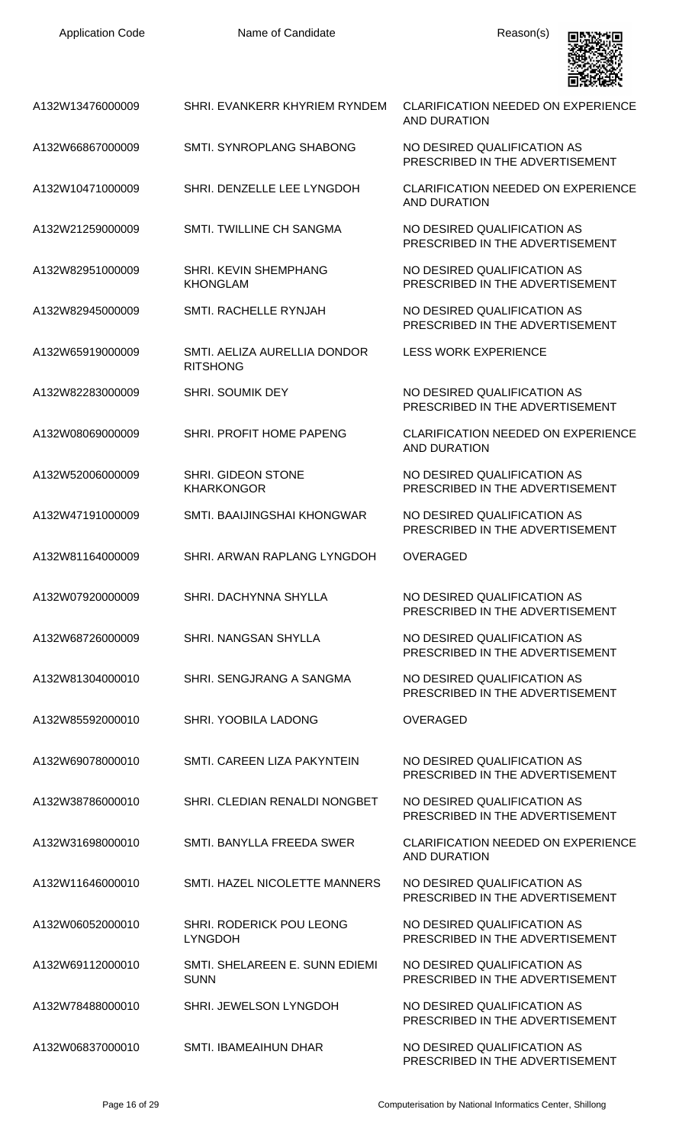

| A132W13476000009 | SHRI. EVANKERR KHYRIEM RYNDEM                   | <b>CLARIFICATION NEEDED ON EXPERIENCE</b><br><b>AND DURATION</b> |
|------------------|-------------------------------------------------|------------------------------------------------------------------|
| A132W66867000009 | SMTI. SYNROPLANG SHABONG                        | NO DESIRED QUALIFICATION AS<br>PRESCRIBED IN THE ADVERTISEMENT   |
| A132W10471000009 | SHRI. DENZELLE LEE LYNGDOH                      | <b>CLARIFICATION NEEDED ON EXPERIENCE</b><br><b>AND DURATION</b> |
| A132W21259000009 | SMTI. TWILLINE CH SANGMA                        | NO DESIRED QUALIFICATION AS<br>PRESCRIBED IN THE ADVERTISEMENT   |
| A132W82951000009 | <b>SHRI. KEVIN SHEMPHANG</b><br><b>KHONGLAM</b> | NO DESIRED QUALIFICATION AS<br>PRESCRIBED IN THE ADVERTISEMENT   |
| A132W82945000009 | SMTI, RACHELLE RYNJAH                           | NO DESIRED QUALIFICATION AS<br>PRESCRIBED IN THE ADVERTISEMENT   |
| A132W65919000009 | SMTI. AELIZA AURELLIA DONDOR<br><b>RITSHONG</b> | <b>LESS WORK EXPERIENCE</b>                                      |
| A132W82283000009 | <b>SHRI. SOUMIK DEY</b>                         | NO DESIRED QUALIFICATION AS<br>PRESCRIBED IN THE ADVERTISEMENT   |
| A132W08069000009 | SHRI. PROFIT HOME PAPENG                        | <b>CLARIFICATION NEEDED ON EXPERIENCE</b><br><b>AND DURATION</b> |
| A132W52006000009 | SHRI. GIDEON STONE<br><b>KHARKONGOR</b>         | NO DESIRED QUALIFICATION AS<br>PRESCRIBED IN THE ADVERTISEMENT   |
| A132W47191000009 | SMTI. BAAIJINGSHAI KHONGWAR                     | NO DESIRED QUALIFICATION AS<br>PRESCRIBED IN THE ADVERTISEMENT   |
| A132W81164000009 | SHRI. ARWAN RAPLANG LYNGDOH                     | <b>OVERAGED</b>                                                  |
| A132W07920000009 | SHRI, DACHYNNA SHYLLA                           | NO DESIRED QUALIFICATION AS<br>PRESCRIBED IN THE ADVERTISEMENT   |
| A132W68726000009 | SHRI. NANGSAN SHYLLA                            | NO DESIRED QUALIFICATION AS<br>PRESCRIBED IN THE ADVERTISEMENT   |
| A132W81304000010 | SHRI. SENGJRANG A SANGMA                        | NO DESIRED QUALIFICATION AS<br>PRESCRIBED IN THE ADVERTISEMENT   |
| A132W85592000010 | SHRI. YOOBILA LADONG                            | <b>OVERAGED</b>                                                  |
| A132W69078000010 | SMTI. CAREEN LIZA PAKYNTEIN                     | NO DESIRED QUALIFICATION AS<br>PRESCRIBED IN THE ADVERTISEMENT   |
| A132W38786000010 | SHRI. CLEDIAN RENALDI NONGBET                   | NO DESIRED QUALIFICATION AS<br>PRESCRIBED IN THE ADVERTISEMENT   |
| A132W31698000010 | SMTI. BANYLLA FREEDA SWER                       | CLARIFICATION NEEDED ON EXPERIENCE<br>AND DURATION               |
| A132W11646000010 | SMTI. HAZEL NICOLETTE MANNERS                   | NO DESIRED QUALIFICATION AS<br>PRESCRIBED IN THE ADVERTISEMENT   |
| A132W06052000010 | SHRI. RODERICK POU LEONG<br><b>LYNGDOH</b>      | NO DESIRED QUALIFICATION AS<br>PRESCRIBED IN THE ADVERTISEMENT   |
| A132W69112000010 | SMTL SHELAREEN E. SUNN EDIEMI<br><b>SUNN</b>    | NO DESIRED QUALIFICATION AS<br>PRESCRIBED IN THE ADVERTISEMENT   |
| A132W78488000010 | SHRI. JEWELSON LYNGDOH                          | NO DESIRED QUALIFICATION AS<br>PRESCRIBED IN THE ADVERTISEMENT   |
| A132W06837000010 | SMTI, IBAMEAIHUN DHAR                           | NO DESIRED QUALIFICATION AS<br>PRESCRIBED IN THE ADVERTISEMENT   |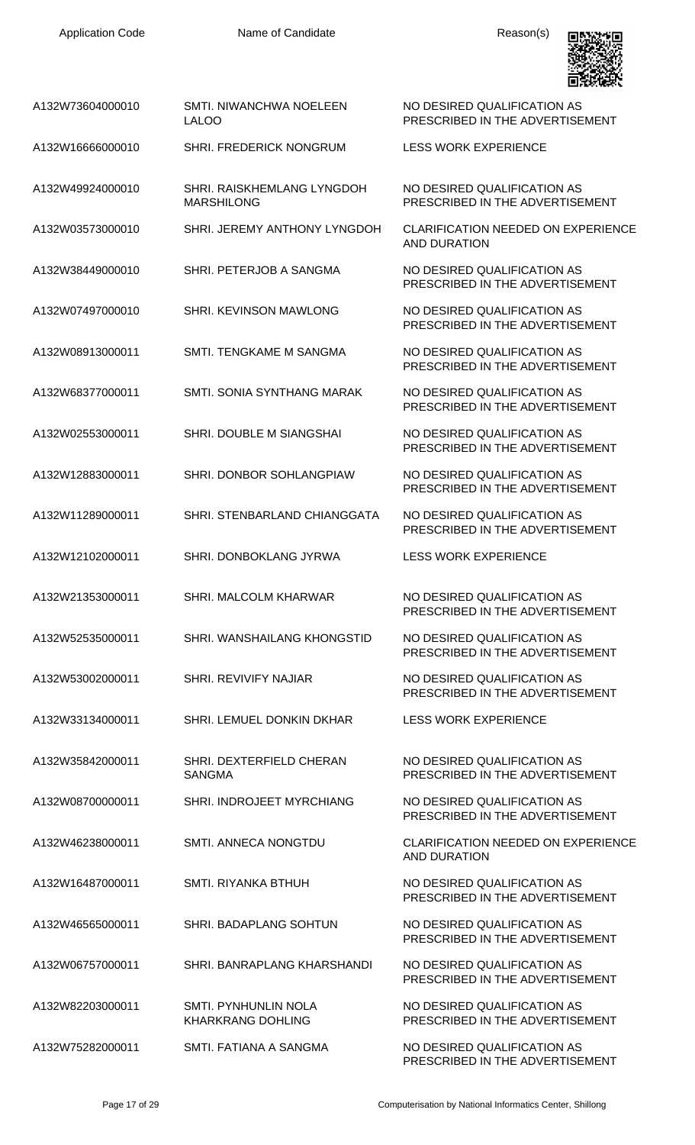

| A132W73604000010 | SMTI, NIWANCHWA NOELEEN<br><b>LALOO</b>          | NO DESIRED QUALIFICATION AS<br>PRESCRIBED IN THE ADVERTISEMENT   |
|------------------|--------------------------------------------------|------------------------------------------------------------------|
| A132W16666000010 | SHRI. FREDERICK NONGRUM                          | <b>LESS WORK EXPERIENCE</b>                                      |
| A132W49924000010 | SHRI, RAISKHEMLANG LYNGDOH<br><b>MARSHILONG</b>  | NO DESIRED QUALIFICATION AS<br>PRESCRIBED IN THE ADVERTISEMENT   |
| A132W03573000010 | SHRI. JEREMY ANTHONY LYNGDOH                     | <b>CLARIFICATION NEEDED ON EXPERIENCE</b><br>AND DURATION        |
| A132W38449000010 | SHRI. PETERJOB A SANGMA                          | NO DESIRED QUALIFICATION AS<br>PRESCRIBED IN THE ADVERTISEMENT   |
| A132W07497000010 | SHRI. KEVINSON MAWLONG                           | NO DESIRED QUALIFICATION AS<br>PRESCRIBED IN THE ADVERTISEMENT   |
| A132W08913000011 | SMTI. TENGKAME M SANGMA                          | NO DESIRED QUALIFICATION AS<br>PRESCRIBED IN THE ADVERTISEMENT   |
| A132W68377000011 | SMTI, SONIA SYNTHANG MARAK                       | NO DESIRED QUALIFICATION AS<br>PRESCRIBED IN THE ADVERTISEMENT   |
| A132W02553000011 | SHRI. DOUBLE M SIANGSHAI                         | NO DESIRED QUALIFICATION AS<br>PRESCRIBED IN THE ADVERTISEMENT   |
| A132W12883000011 | SHRI. DONBOR SOHLANGPIAW                         | NO DESIRED QUALIFICATION AS<br>PRESCRIBED IN THE ADVERTISEMENT   |
| A132W11289000011 | SHRI. STENBARLAND CHIANGGATA                     | NO DESIRED QUALIFICATION AS<br>PRESCRIBED IN THE ADVERTISEMENT   |
| A132W12102000011 | SHRI. DONBOKLANG JYRWA                           | <b>LESS WORK EXPERIENCE</b>                                      |
| A132W21353000011 | SHRI. MALCOLM KHARWAR                            | NO DESIRED QUALIFICATION AS<br>PRESCRIBED IN THE ADVERTISEMENT   |
| A132W52535000011 | SHRI. WANSHAILANG KHONGSTID                      | NO DESIRED QUALIFICATION AS<br>PRESCRIBED IN THE ADVERTISEMENT   |
| A132W53002000011 | <b>SHRI. REVIVIFY NAJIAR</b>                     | NO DESIRED QUALIFICATION AS<br>PRESCRIBED IN THE ADVERTISEMENT   |
| A132W33134000011 | SHRI. LEMUEL DONKIN DKHAR                        | <b>LESS WORK EXPERIENCE</b>                                      |
| A132W35842000011 | SHRI. DEXTERFIELD CHERAN<br><b>SANGMA</b>        | NO DESIRED QUALIFICATION AS<br>PRESCRIBED IN THE ADVERTISEMENT   |
| A132W08700000011 | SHRI. INDROJEET MYRCHIANG                        | NO DESIRED QUALIFICATION AS<br>PRESCRIBED IN THE ADVERTISEMENT   |
| A132W46238000011 | SMTI. ANNECA NONGTDU                             | <b>CLARIFICATION NEEDED ON EXPERIENCE</b><br><b>AND DURATION</b> |
| A132W16487000011 | <b>SMTI. RIYANKA BTHUH</b>                       | NO DESIRED QUALIFICATION AS<br>PRESCRIBED IN THE ADVERTISEMENT   |
| A132W46565000011 | SHRI. BADAPLANG SOHTUN                           | NO DESIRED QUALIFICATION AS<br>PRESCRIBED IN THE ADVERTISEMENT   |
| A132W06757000011 | SHRI, BANRAPLANG KHARSHANDI                      | NO DESIRED QUALIFICATION AS<br>PRESCRIBED IN THE ADVERTISEMENT   |
| A132W82203000011 | SMTI. PYNHUNLIN NOLA<br><b>KHARKRANG DOHLING</b> | NO DESIRED QUALIFICATION AS<br>PRESCRIBED IN THE ADVERTISEMENT   |
| A132W75282000011 | SMTI. FATIANA A SANGMA                           | NO DESIRED QUALIFICATION AS<br>PRESCRIBED IN THE ADVERTISEMENT   |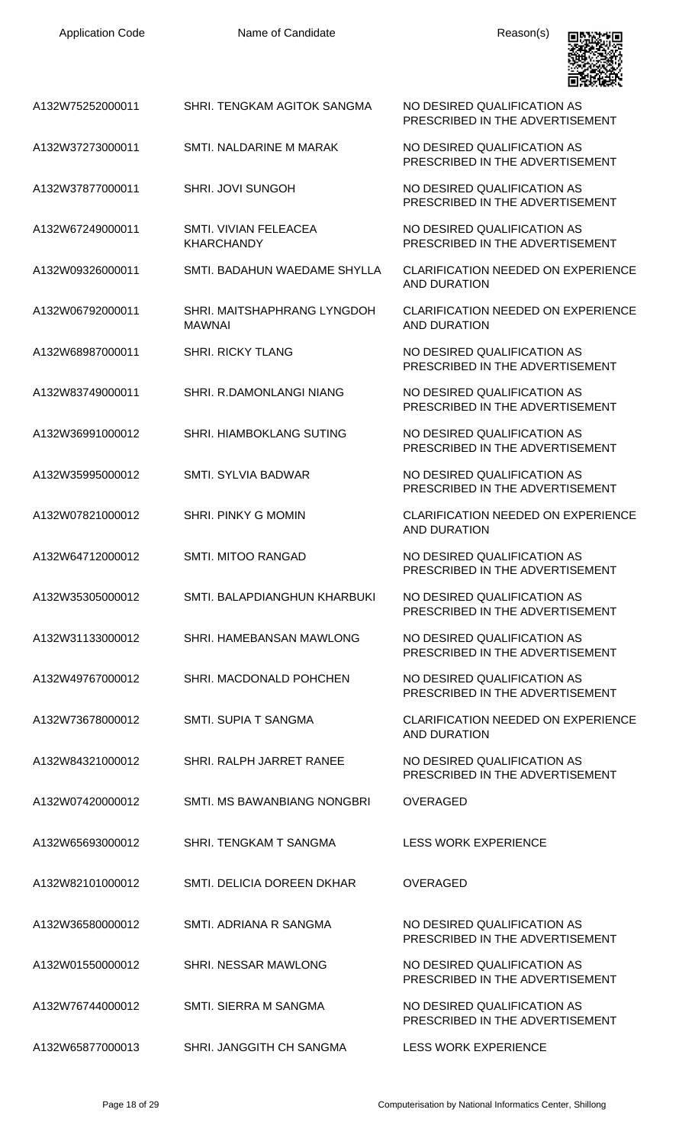| <b>Application Code</b> | Name of Candidate                            | Reason(s)                                                        |
|-------------------------|----------------------------------------------|------------------------------------------------------------------|
| A132W75252000011        | SHRI. TENGKAM AGITOK SANGMA                  | NO DESIRED QUALIFICATION AS<br>PRESCRIBED IN THE ADVERTISEMENT   |
| A132W37273000011        | SMTI, NALDARINE M MARAK                      | NO DESIRED QUALIFICATION AS<br>PRESCRIBED IN THE ADVERTISEMENT   |
| A132W37877000011        | <b>SHRI. JOVI SUNGOH</b>                     | NO DESIRED QUALIFICATION AS<br>PRESCRIBED IN THE ADVERTISEMENT   |
| A132W67249000011        | SMTI. VIVIAN FELEACEA<br><b>KHARCHANDY</b>   | NO DESIRED QUALIFICATION AS<br>PRESCRIBED IN THE ADVERTISEMENT   |
| A132W09326000011        | SMTI, BADAHUN WAEDAME SHYLLA                 | <b>CLARIFICATION NEEDED ON EXPERIENCE</b><br><b>AND DURATION</b> |
| A132W06792000011        | SHRI. MAITSHAPHRANG LYNGDOH<br><b>MAWNAI</b> | <b>CLARIFICATION NEEDED ON EXPERIENCE</b><br><b>AND DURATION</b> |
| A132W68987000011        | <b>SHRI. RICKY TLANG</b>                     | NO DESIRED QUALIFICATION AS<br>PRESCRIBED IN THE ADVERTISEMENT   |
| A132W83749000011        | SHRI. R.DAMONLANGI NIANG                     | NO DESIRED QUALIFICATION AS<br>PRESCRIBED IN THE ADVERTISEMENT   |
| A132W36991000012        | <b>SHRI. HIAMBOKLANG SUTING</b>              | NO DESIRED QUALIFICATION AS<br>PRESCRIBED IN THE ADVERTISEMENT   |
| A132W35995000012        | <b>SMTI. SYLVIA BADWAR</b>                   | NO DESIRED QUALIFICATION AS<br>PRESCRIBED IN THE ADVERTISEMENT   |
| A132W07821000012        | SHRI. PINKY G MOMIN                          | <b>CLARIFICATION NEEDED ON EXPERIENCE</b><br><b>AND DURATION</b> |
| A132W64712000012        | SMTI. MITOO RANGAD                           | NO DESIRED QUALIFICATION AS<br>PRESCRIBED IN THE ADVERTISEMENT   |
| A132W35305000012        | SMTI. BALAPDIANGHUN KHARBUKI                 | NO DESIRED QUALIFICATION AS<br>PRESCRIBED IN THE ADVERTISEMENT   |
| A132W31133000012        | SHRI. HAMEBANSAN MAWLONG                     | NO DESIRED QUALIFICATION AS<br>PRESCRIBED IN THE ADVERTISEMENT   |
| A132W49767000012        | SHRI. MACDONALD POHCHEN                      | NO DESIRED QUALIFICATION AS<br>PRESCRIBED IN THE ADVERTISEMENT   |
| A132W73678000012        | SMTI. SUPIA T SANGMA                         | <b>CLARIFICATION NEEDED ON EXPERIENCE</b><br>AND DURATION        |
| A132W84321000012        | SHRI. RALPH JARRET RANEE                     | NO DESIRED QUALIFICATION AS<br>PRESCRIBED IN THE ADVERTISEMENT   |
| A132W07420000012        | SMTI. MS BAWANBIANG NONGBRI                  | <b>OVERAGED</b>                                                  |
| A132W65693000012        | SHRI. TENGKAM T SANGMA                       | <b>LESS WORK EXPERIENCE</b>                                      |
| A132W82101000012        | SMTI. DELICIA DOREEN DKHAR                   | <b>OVERAGED</b>                                                  |
| A132W36580000012        | SMTI, ADRIANA R SANGMA                       | NO DESIRED QUALIFICATION AS<br>PRESCRIBED IN THE ADVERTISEMENT   |
| A132W01550000012        | SHRI. NESSAR MAWLONG                         | NO DESIRED QUALIFICATION AS<br>PRESCRIBED IN THE ADVERTISEMENT   |
| A132W76744000012        | SMTI. SIERRA M SANGMA                        | NO DESIRED QUALIFICATION AS<br>PRESCRIBED IN THE ADVERTISEMENT   |
| A132W65877000013        | SHRI. JANGGITH CH SANGMA                     | <b>LESS WORK EXPERIENCE</b>                                      |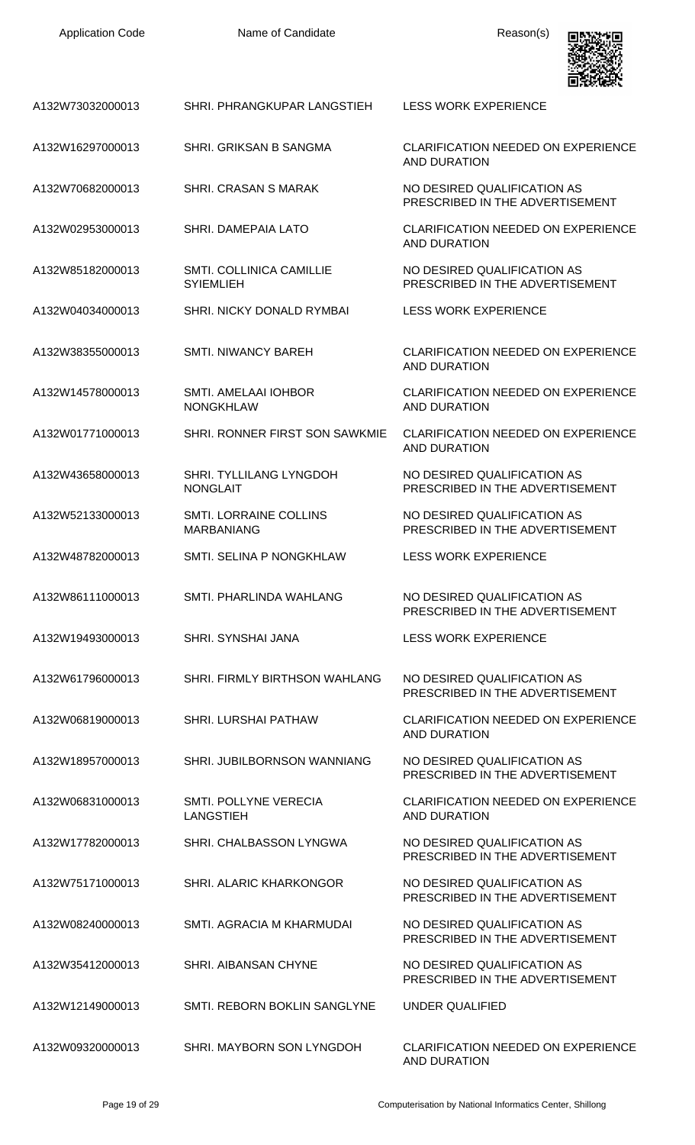| <b>Application Code</b> | Name of Candidate                                   | Reason(s)                                                        |
|-------------------------|-----------------------------------------------------|------------------------------------------------------------------|
| A132W73032000013        | SHRI. PHRANGKUPAR LANGSTIEH                         | <b>LESS WORK EXPERIENCE</b>                                      |
| A132W16297000013        | SHRI. GRIKSAN B SANGMA                              | <b>CLARIFICATION NEEDED ON EXPERIENCE</b><br><b>AND DURATION</b> |
| A132W70682000013        | <b>SHRI. CRASAN S MARAK</b>                         | NO DESIRED QUALIFICATION AS<br>PRESCRIBED IN THE ADVERTISEMENT   |
| A132W02953000013        | SHRI. DAMEPAIA LATO                                 | <b>CLARIFICATION NEEDED ON EXPERIENCE</b><br><b>AND DURATION</b> |
| A132W85182000013        | <b>SMTI. COLLINICA CAMILLIE</b><br><b>SYIEMLIEH</b> | NO DESIRED QUALIFICATION AS<br>PRESCRIBED IN THE ADVERTISEMENT   |
| A132W04034000013        | <b>SHRI. NICKY DONALD RYMBAI</b>                    | <b>LESS WORK EXPERIENCE</b>                                      |
| A132W38355000013        | <b>SMTI. NIWANCY BAREH</b>                          | <b>CLARIFICATION NEEDED ON EXPERIENCE</b><br><b>AND DURATION</b> |
| A132W14578000013        | <b>SMTI. AMELAAI IOHBOR</b><br><b>NONGKHLAW</b>     | CLARIFICATION NEEDED ON EXPERIENCE<br><b>AND DURATION</b>        |
| A132W01771000013        | SHRI. RONNER FIRST SON SAWKMIE                      | <b>CLARIFICATION NEEDED ON EXPERIENCE</b><br>AND DURATION        |
| A132W43658000013        | SHRI. TYLLILANG LYNGDOH<br><b>NONGLAIT</b>          | NO DESIRED QUALIFICATION AS<br>PRESCRIBED IN THE ADVERTISEMENT   |
| A132W52133000013        | <b>SMTI. LORRAINE COLLINS</b><br><b>MARBANIANG</b>  | NO DESIRED QUALIFICATION AS<br>PRESCRIBED IN THE ADVERTISEMENT   |
| A132W48782000013        | SMTL SELINA P NONGKHLAW                             | <b>LESS WORK EXPERIENCE</b>                                      |
| A132W86111000013        | SMTI. PHARLINDA WAHLANG                             | NO DESIRED QUALIFICATION AS<br>PRESCRIBED IN THE ADVERTISEMENT   |
| A132W19493000013        | SHRI, SYNSHAI JANA                                  | <b>LESS WORK EXPERIENCE</b>                                      |
| A132W61796000013        | SHRI. FIRMLY BIRTHSON WAHLANG                       | NO DESIRED QUALIFICATION AS<br>PRESCRIBED IN THE ADVERTISEMENT   |
| A132W06819000013        | <b>SHRI. LURSHAI PATHAW</b>                         | <b>CLARIFICATION NEEDED ON EXPERIENCE</b><br>AND DURATION        |
| A132W18957000013        | SHRI. JUBILBORNSON WANNIANG                         | NO DESIRED QUALIFICATION AS<br>PRESCRIBED IN THE ADVERTISEMENT   |
| A132W06831000013        | SMTI. POLLYNE VERECIA<br>LANGSTIEH                  | <b>CLARIFICATION NEEDED ON EXPERIENCE</b><br>AND DURATION        |
| A132W17782000013        | SHRI. CHALBASSON LYNGWA                             | NO DESIRED QUALIFICATION AS<br>PRESCRIBED IN THE ADVERTISEMENT   |
| A132W75171000013        | <b>SHRI. ALARIC KHARKONGOR</b>                      | NO DESIRED QUALIFICATION AS<br>PRESCRIBED IN THE ADVERTISEMENT   |
| A132W08240000013        | SMTI. AGRACIA M KHARMUDAI                           | NO DESIRED QUALIFICATION AS<br>PRESCRIBED IN THE ADVERTISEMENT   |
| A132W35412000013        | <b>SHRI. AIBANSAN CHYNE</b>                         | NO DESIRED QUALIFICATION AS<br>PRESCRIBED IN THE ADVERTISEMENT   |
| A132W12149000013        | SMTI. REBORN BOKLIN SANGLYNE                        | UNDER QUALIFIED                                                  |
| A132W09320000013        | SHRI. MAYBORN SON LYNGDOH                           | CLARIFICATION NEEDED ON EXPERIENCE<br>AND DURATION               |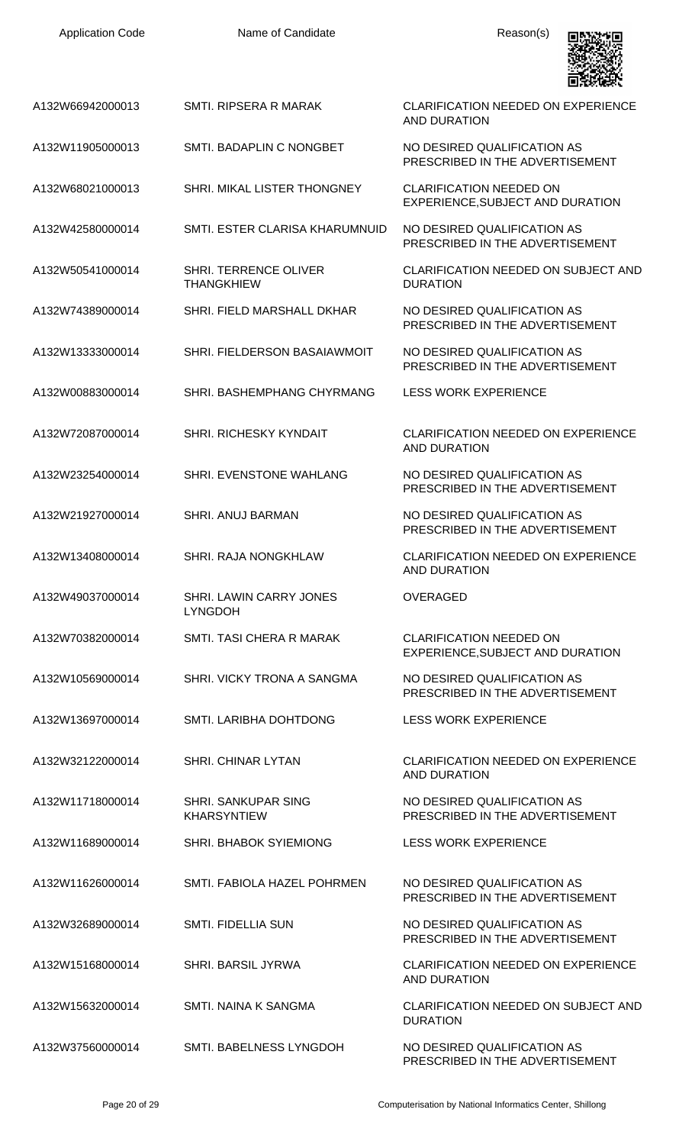| <b>Application Code</b> | Name of Candidate                                 | Reason(s)                                                          |
|-------------------------|---------------------------------------------------|--------------------------------------------------------------------|
| A132W66942000013        | SMTI. RIPSERA R MARAK                             | <b>CLARIFICATION NEEDED ON EXPERIENCE</b><br><b>AND DURATION</b>   |
| A132W11905000013        | SMTI. BADAPLIN C NONGBET                          | NO DESIRED QUALIFICATION AS<br>PRESCRIBED IN THE ADVERTISEMENT     |
| A132W68021000013        | SHRI. MIKAL LISTER THONGNEY                       | <b>CLARIFICATION NEEDED ON</b><br>EXPERIENCE, SUBJECT AND DURATION |
| A132W42580000014        | SMTI. ESTER CLARISA KHARUMNUID                    | NO DESIRED QUALIFICATION AS<br>PRESCRIBED IN THE ADVERTISEMENT     |
| A132W50541000014        | <b>SHRI. TERRENCE OLIVER</b><br><b>THANGKHIEW</b> | <b>CLARIFICATION NEEDED ON SUBJECT AND</b><br><b>DURATION</b>      |
| A132W74389000014        | SHRI. FIELD MARSHALL DKHAR                        | NO DESIRED QUALIFICATION AS<br>PRESCRIBED IN THE ADVERTISEMENT     |
| A132W13333000014        | SHRI. FIELDERSON BASAIAWMOIT                      | NO DESIRED QUALIFICATION AS<br>PRESCRIBED IN THE ADVERTISEMENT     |
| A132W00883000014        | SHRI. BASHEMPHANG CHYRMANG                        | <b>LESS WORK EXPERIENCE</b>                                        |
| A132W72087000014        | SHRI. RICHESKY KYNDAIT                            | <b>CLARIFICATION NEEDED ON EXPERIENCE</b><br><b>AND DURATION</b>   |
| A132W23254000014        | SHRI. EVENSTONE WAHLANG                           | NO DESIRED QUALIFICATION AS<br>PRESCRIBED IN THE ADVERTISEMENT     |
| A132W21927000014        | <b>SHRI. ANUJ BARMAN</b>                          | NO DESIRED QUALIFICATION AS<br>PRESCRIBED IN THE ADVERTISEMENT     |
| A132W13408000014        | <b>SHRI, RAJA NONGKHLAW</b>                       | CLARIFICATION NEEDED ON EXPERIENCE<br><b>AND DURATION</b>          |
| A132W49037000014        | <b>SHRI. LAWIN CARRY JONES</b><br><b>LYNGDOH</b>  | <b>OVERAGED</b>                                                    |
| A132W70382000014        | SMTI. TASI CHERA R MARAK                          | <b>CLARIFICATION NEEDED ON</b><br>EXPERIENCE, SUBJECT AND DURATION |
| A132W10569000014        | SHRI. VICKY TRONA A SANGMA                        | NO DESIRED QUALIFICATION AS<br>PRESCRIBED IN THE ADVERTISEMENT     |
| A132W13697000014        | SMTI. LARIBHA DOHTDONG                            | LESS WORK EXPERIENCE                                               |
| A132W32122000014        | <b>SHRI. CHINAR LYTAN</b>                         | <b>CLARIFICATION NEEDED ON EXPERIENCE</b><br><b>AND DURATION</b>   |
| A132W11718000014        | <b>SHRI. SANKUPAR SING</b><br><b>KHARSYNTIEW</b>  | NO DESIRED QUALIFICATION AS<br>PRESCRIBED IN THE ADVERTISEMENT     |
| A132W11689000014        | <b>SHRI. BHABOK SYIEMIONG</b>                     | LESS WORK EXPERIENCE                                               |
| A132W11626000014        | SMTI. FABIOLA HAZEL POHRMEN                       | NO DESIRED QUALIFICATION AS<br>PRESCRIBED IN THE ADVERTISEMENT     |
| A132W32689000014        | <b>SMTI. FIDELLIA SUN</b>                         | NO DESIRED QUALIFICATION AS<br>PRESCRIBED IN THE ADVERTISEMENT     |
| A132W15168000014        | <b>SHRI. BARSIL JYRWA</b>                         | <b>CLARIFICATION NEEDED ON EXPERIENCE</b><br><b>AND DURATION</b>   |
| A132W15632000014        | SMTI, NAINA K SANGMA                              | <b>CLARIFICATION NEEDED ON SUBJECT AND</b><br><b>DURATION</b>      |
| A132W37560000014        | SMTI. BABELNESS LYNGDOH                           | NO DESIRED QUALIFICATION AS<br>PRESCRIBED IN THE ADVERTISEMENT     |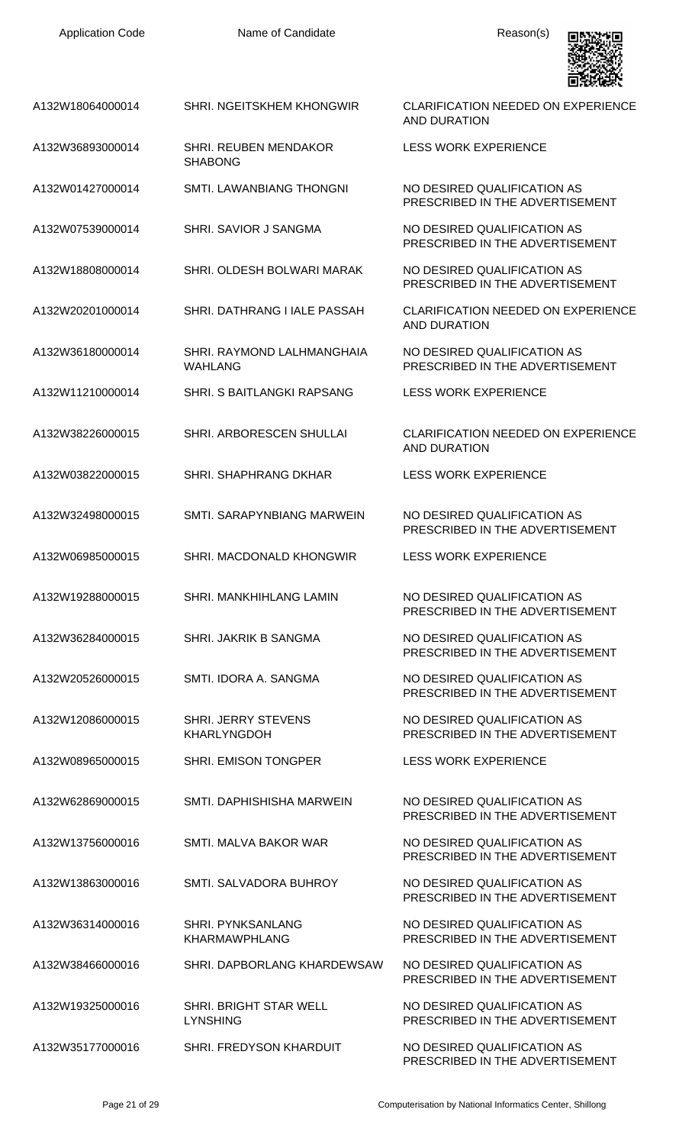A132W18064000014 SHRI. NGEITSKHEM KHONGWIR CLARIFICATION NEEDED ON EXPERIENCE

AND DURATION



| A132W36893000014 | <b>SHRI. REUBEN MENDAKOR</b><br><b>SHABONG</b>   | <b>LESS WORK EXPERIENCE</b>                                    |
|------------------|--------------------------------------------------|----------------------------------------------------------------|
| A132W01427000014 | <b>SMTI. LAWANBIANG THONGNI</b>                  | NO DESIRED QUALIFICATION AS<br>PRESCRIBED IN THE ADVERTISEMENT |
| A132W07539000014 | SHRI. SAVIOR J SANGMA                            | NO DESIRED QUALIFICATION AS<br>PRESCRIBED IN THE ADVERTISEMENT |
| A132W18808000014 | SHRI. OLDESH BOLWARI MARAK                       | NO DESIRED QUALIFICATION AS<br>PRESCRIBED IN THE ADVERTISEMENT |
| A132W20201000014 | SHRI. DATHRANG I IALE PASSAH                     | <b>CLARIFICATION NEEDED ON EXPERIENCE</b><br>AND DURATION      |
| A132W36180000014 | SHRI. RAYMOND LALHMANGHAIA<br><b>WAHLANG</b>     | NO DESIRED QUALIFICATION AS<br>PRESCRIBED IN THE ADVERTISEMENT |
| A132W11210000014 | SHRI. S BAITLANGKI RAPSANG                       | <b>LESS WORK EXPERIENCE</b>                                    |
| A132W38226000015 | SHRI. ARBORESCEN SHULLAI                         | <b>CLARIFICATION NEEDED ON EXPERIENCE</b><br>AND DURATION      |
| A132W03822000015 | SHRI. SHAPHRANG DKHAR                            | <b>LESS WORK EXPERIENCE</b>                                    |
| A132W32498000015 | SMTI, SARAPYNBIANG MARWEIN                       | NO DESIRED QUALIFICATION AS<br>PRESCRIBED IN THE ADVERTISEMENT |
| A132W06985000015 | SHRI. MACDONALD KHONGWIR                         | <b>LESS WORK EXPERIENCE</b>                                    |
| A132W19288000015 | SHRI. MANKHIHLANG LAMIN                          | NO DESIRED QUALIFICATION AS<br>PRESCRIBED IN THE ADVERTISEMENT |
| A132W36284000015 | SHRI. JAKRIK B SANGMA                            | NO DESIRED QUALIFICATION AS<br>PRESCRIBED IN THE ADVERTISEMENT |
| A132W20526000015 | SMTI. IDORA A. SANGMA                            | NO DESIRED QUALIFICATION AS<br>PRESCRIBED IN THE ADVERTISEMENT |
| A132W12086000015 | <b>SHRI. JERRY STEVENS</b><br><b>KHARLYNGDOH</b> | NO DESIRED QUALIFICATION AS<br>PRESCRIBED IN THE ADVERTISEMENT |
| A132W08965000015 | <b>SHRI. EMISON TONGPER</b>                      | <b>LESS WORK EXPERIENCE</b>                                    |
| A132W62869000015 | SMTI. DAPHISHISHA MARWEIN                        | NO DESIRED QUALIFICATION AS<br>PRESCRIBED IN THE ADVERTISEMENT |
| A132W13756000016 | SMTI. MALVA BAKOR WAR                            | NO DESIRED QUALIFICATION AS<br>PRESCRIBED IN THE ADVERTISEMENT |
| A132W13863000016 | SMTI. SALVADORA BUHROY                           | NO DESIRED QUALIFICATION AS<br>PRESCRIBED IN THE ADVERTISEMENT |
| A132W36314000016 | <b>SHRI. PYNKSANLANG</b><br>KHARMAWPHLANG        | NO DESIRED QUALIFICATION AS<br>PRESCRIBED IN THE ADVERTISEMENT |
| A132W38466000016 | SHRI. DAPBORLANG KHARDEWSAW                      | NO DESIRED QUALIFICATION AS<br>PRESCRIBED IN THE ADVERTISEMENT |
| A132W19325000016 | SHRI. BRIGHT STAR WELL<br><b>LYNSHING</b>        | NO DESIRED QUALIFICATION AS<br>PRESCRIBED IN THE ADVERTISEMENT |
| A132W35177000016 | SHRI. FREDYSON KHARDUIT                          | NO DESIRED QUALIFICATION AS<br>PRESCRIBED IN THE ADVERTISEMENT |
|                  |                                                  |                                                                |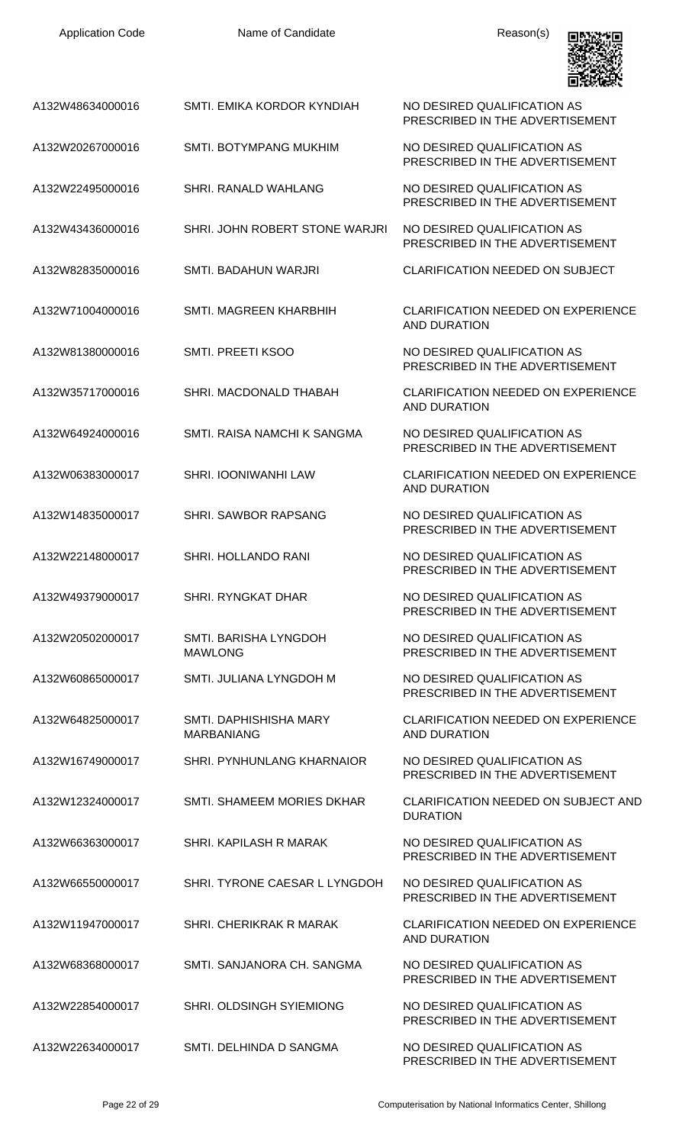| <b>Application Code</b> | Name of Candidate                           | Reason(s)                                                        |
|-------------------------|---------------------------------------------|------------------------------------------------------------------|
| A132W48634000016        | SMTI. EMIKA KORDOR KYNDIAH                  | NO DESIRED QUALIFICATION AS<br>PRESCRIBED IN THE ADVERTISEMENT   |
| A132W20267000016        | <b>SMTI. BOTYMPANG MUKHIM</b>               | NO DESIRED QUALIFICATION AS<br>PRESCRIBED IN THE ADVERTISEMENT   |
| A132W22495000016        | SHRI. RANALD WAHLANG                        | NO DESIRED QUALIFICATION AS<br>PRESCRIBED IN THE ADVERTISEMENT   |
| A132W43436000016        | SHRI. JOHN ROBERT STONE WARJRI              | NO DESIRED QUALIFICATION AS<br>PRESCRIBED IN THE ADVERTISEMENT   |
| A132W82835000016        | SMTI. BADAHUN WARJRI                        | <b>CLARIFICATION NEEDED ON SUBJECT</b>                           |
| A132W71004000016        | SMTI. MAGREEN KHARBHIH                      | <b>CLARIFICATION NEEDED ON EXPERIENCE</b><br><b>AND DURATION</b> |
| A132W81380000016        | SMTI. PREETI KSOO                           | NO DESIRED QUALIFICATION AS<br>PRESCRIBED IN THE ADVERTISEMENT   |
| A132W35717000016        | SHRI. MACDONALD THABAH                      | <b>CLARIFICATION NEEDED ON EXPERIENCE</b><br>AND DURATION        |
| A132W64924000016        | SMTI. RAISA NAMCHI K SANGMA                 | NO DESIRED QUALIFICATION AS<br>PRESCRIBED IN THE ADVERTISEMENT   |
| A132W06383000017        | <b>SHRI. IOONIWANHI LAW</b>                 | <b>CLARIFICATION NEEDED ON EXPERIENCE</b><br><b>AND DURATION</b> |
| A132W14835000017        | <b>SHRI. SAWBOR RAPSANG</b>                 | NO DESIRED QUALIFICATION AS<br>PRESCRIBED IN THE ADVERTISEMENT   |
| A132W22148000017        | SHRI. HOLLANDO RANI                         | NO DESIRED QUALIFICATION AS<br>PRESCRIBED IN THE ADVERTISEMENT   |
| A132W49379000017        | <b>SHRI. RYNGKAT DHAR</b>                   | NO DESIRED QUALIFICATION AS<br>PRESCRIBED IN THE ADVERTISEMENT   |
| A132W20502000017        | SMTI. BARISHA LYNGDOH<br><b>MAWLONG</b>     | NO DESIRED QUALIFICATION AS<br>PRESCRIBED IN THE ADVERTISEMENT   |
| A132W60865000017        | SMTI. JULIANA LYNGDOH M                     | NO DESIRED QUALIFICATION AS<br>PRESCRIBED IN THE ADVERTISEMENT   |
| A132W64825000017        | SMTI, DAPHISHISHA MARY<br><b>MARBANIANG</b> | <b>CLARIFICATION NEEDED ON EXPERIENCE</b><br>AND DURATION        |
| A132W16749000017        | SHRI. PYNHUNLANG KHARNAIOR                  | NO DESIRED QUALIFICATION AS<br>PRESCRIBED IN THE ADVERTISEMENT   |
| A132W12324000017        | SMTI. SHAMEEM MORIES DKHAR                  | <b>CLARIFICATION NEEDED ON SUBJECT AND</b><br><b>DURATION</b>    |
| A132W66363000017        | SHRI. KAPILASH R MARAK                      | NO DESIRED QUALIFICATION AS<br>PRESCRIBED IN THE ADVERTISEMENT   |
| A132W66550000017        | SHRI. TYRONE CAESAR L LYNGDOH               | NO DESIRED QUALIFICATION AS<br>PRESCRIBED IN THE ADVERTISEMENT   |
| A132W11947000017        | SHRI. CHERIKRAK R MARAK                     | <b>CLARIFICATION NEEDED ON EXPERIENCE</b><br><b>AND DURATION</b> |
| A132W68368000017        | SMTI, SANJANORA CH. SANGMA                  | NO DESIRED QUALIFICATION AS<br>PRESCRIBED IN THE ADVERTISEMENT   |
| A132W22854000017        | <b>SHRI. OLDSINGH SYIEMIONG</b>             | NO DESIRED QUALIFICATION AS<br>PRESCRIBED IN THE ADVERTISEMENT   |
| A132W22634000017        | SMTI. DELHINDA D SANGMA                     | NO DESIRED QUALIFICATION AS<br>PRESCRIBED IN THE ADVERTISEMENT   |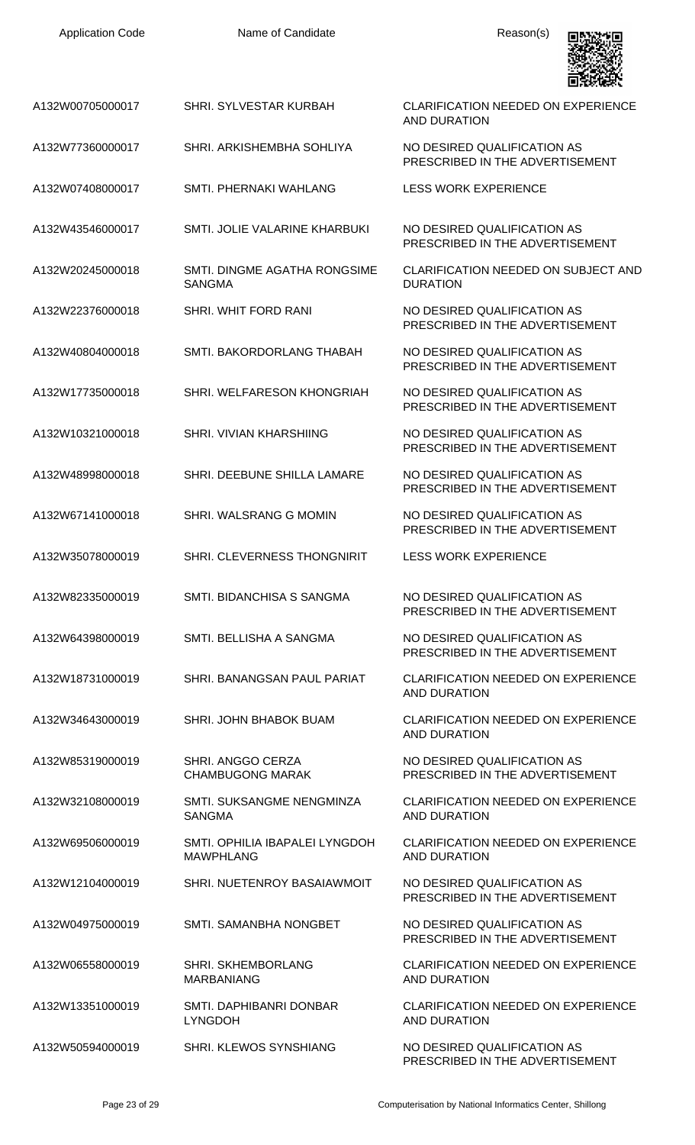| <b>Application Code</b> | Name of Candidate                                  | Reason(s)                                                        |
|-------------------------|----------------------------------------------------|------------------------------------------------------------------|
| A132W00705000017        | SHRI. SYLVESTAR KURBAH                             | <b>CLARIFICATION NEEDED ON EXPERIENCE</b><br><b>AND DURATION</b> |
| A132W77360000017        | SHRI. ARKISHEMBHA SOHLIYA                          | NO DESIRED QUALIFICATION AS<br>PRESCRIBED IN THE ADVERTISEMENT   |
| A132W07408000017        | SMTL PHERNAKI WAHLANG                              | <b>LESS WORK EXPERIENCE</b>                                      |
| A132W43546000017        | SMTI. JOLIE VALARINE KHARBUKI                      | NO DESIRED QUALIFICATION AS<br>PRESCRIBED IN THE ADVERTISEMENT   |
| A132W20245000018        | SMTI. DINGME AGATHA RONGSIME<br><b>SANGMA</b>      | CLARIFICATION NEEDED ON SUBJECT AND<br><b>DURATION</b>           |
| A132W22376000018        | SHRI. WHIT FORD RANI                               | NO DESIRED QUALIFICATION AS<br>PRESCRIBED IN THE ADVERTISEMENT   |
| A132W40804000018        | SMTI. BAKORDORLANG THABAH                          | NO DESIRED QUALIFICATION AS<br>PRESCRIBED IN THE ADVERTISEMENT   |
| A132W17735000018        | SHRI. WELFARESON KHONGRIAH                         | NO DESIRED QUALIFICATION AS<br>PRESCRIBED IN THE ADVERTISEMENT   |
| A132W10321000018        | SHRI. VIVIAN KHARSHIING                            | NO DESIRED QUALIFICATION AS<br>PRESCRIBED IN THE ADVERTISEMENT   |
| A132W48998000018        | SHRI. DEEBUNE SHILLA LAMARE                        | NO DESIRED QUALIFICATION AS<br>PRESCRIBED IN THE ADVERTISEMENT   |
| A132W67141000018        | SHRI. WALSRANG G MOMIN                             | NO DESIRED QUALIFICATION AS<br>PRESCRIBED IN THE ADVERTISEMENT   |
| A132W35078000019        | <b>SHRI. CLEVERNESS THONGNIRIT</b>                 | <b>LESS WORK EXPERIENCE</b>                                      |
| A132W82335000019        | SMTI. BIDANCHISA S SANGMA                          | NO DESIRED QUALIFICATION AS<br>PRESCRIBED IN THE ADVERTISEMENT   |
| A132W64398000019        | SMTI. BELLISHA A SANGMA                            | NO DESIRED QUALIFICATION AS<br>PRESCRIBED IN THE ADVERTISEMENT   |
| A132W18731000019        | SHRI. BANANGSAN PAUL PARIAT                        | <b>CLARIFICATION NEEDED ON EXPERIENCE</b><br><b>AND DURATION</b> |
| A132W34643000019        | SHRI. JOHN BHABOK BUAM                             | <b>CLARIFICATION NEEDED ON EXPERIENCE</b><br><b>AND DURATION</b> |
| A132W85319000019        | SHRI. ANGGO CERZA<br><b>CHAMBUGONG MARAK</b>       | NO DESIRED QUALIFICATION AS<br>PRESCRIBED IN THE ADVERTISEMENT   |
| A132W32108000019        | SMTI. SUKSANGME NENGMINZA<br><b>SANGMA</b>         | <b>CLARIFICATION NEEDED ON EXPERIENCE</b><br><b>AND DURATION</b> |
| A132W69506000019        | SMTI. OPHILIA IBAPALEI LYNGDOH<br><b>MAWPHLANG</b> | <b>CLARIFICATION NEEDED ON EXPERIENCE</b><br><b>AND DURATION</b> |
| A132W12104000019        | SHRI. NUETENROY BASAIAWMOIT                        | NO DESIRED QUALIFICATION AS<br>PRESCRIBED IN THE ADVERTISEMENT   |
| A132W04975000019        | SMTI. SAMANBHA NONGBET                             | NO DESIRED QUALIFICATION AS<br>PRESCRIBED IN THE ADVERTISEMENT   |
| A132W06558000019        | SHRI. SKHEMBORLANG<br><b>MARBANIANG</b>            | <b>CLARIFICATION NEEDED ON EXPERIENCE</b><br><b>AND DURATION</b> |
| A132W13351000019        | SMTI. DAPHIBANRI DONBAR<br><b>LYNGDOH</b>          | <b>CLARIFICATION NEEDED ON EXPERIENCE</b><br><b>AND DURATION</b> |
| A132W50594000019        | SHRI. KLEWOS SYNSHIANG                             | NO DESIRED QUALIFICATION AS<br>PRESCRIBED IN THE ADVERTISEMENT   |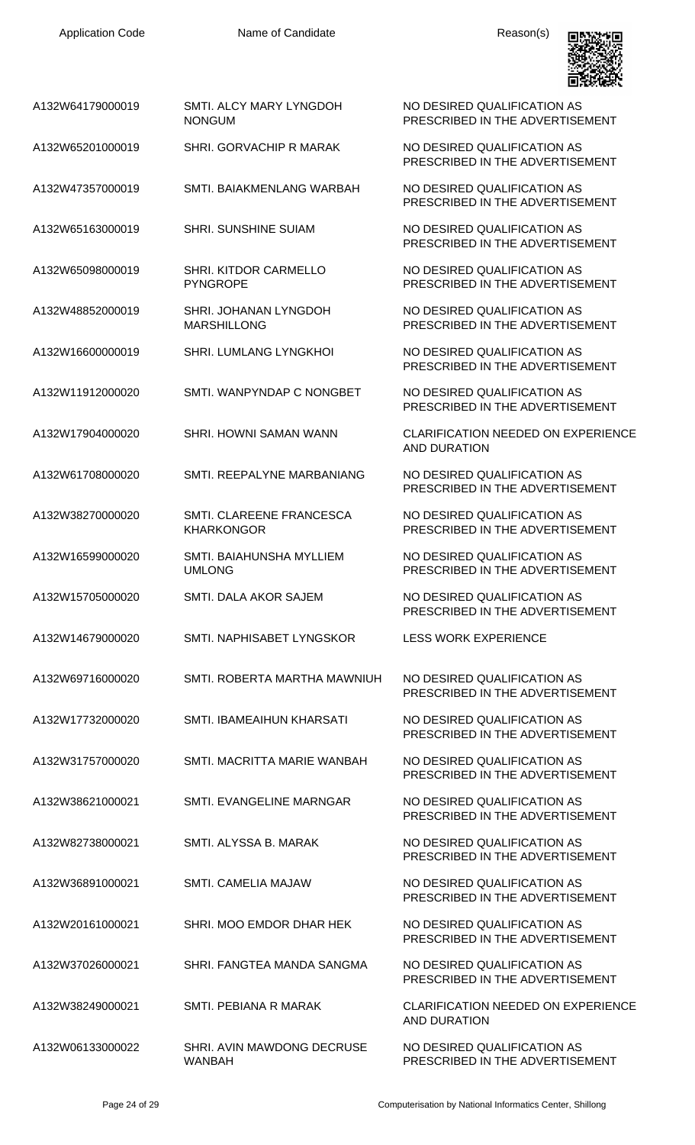

| 四式反映器                                                          |
|----------------------------------------------------------------|
| NO DESIRED QUALIFICATION AS<br>PRESCRIBED IN THE ADVERTISEMENT |
|                                                                |

PRESCRIBED IN THE ADVERTISEMENT

PRESCRIBED IN THE ADVERTISEMENT

PRESCRIBED IN THE ADVERTISEMENT

NO DESIRED QUALIFICATION AS PRESCRIBED IN THE ADVERTISEMENT

NO DESIRED QUALIFICATION AS PRESCRIBED IN THE ADVERTISEMENT

PRESCRIBED IN THE ADVERTISEMENT

PRESCRIBED IN THE ADVERTISEMENT

AND DURATION

PRESCRIBED IN THE ADVERTISEMENT

NO DESIRED QUALIFICATION AS PRESCRIBED IN THE ADVERTISEMENT

NO DESIRED QUALIFICATION AS PRESCRIBED IN THE ADVERTISEMENT

PRESCRIBED IN THE ADVERTISEMENT

PRESCRIBED IN THE ADVERTISEMENT

PRESCRIBED IN THE ADVERTISEMENT

PRESCRIBED IN THE ADVERTISEMENT

PRESCRIBED IN THE ADVERTISEMENT

PRESCRIBED IN THE ADVERTISEMENT

PRESCRIBED IN THE ADVERTISEMENT

PRESCRIBED IN THE ADVERTISEMENT

PRESCRIBED IN THE ADVERTISEMENT

AND DURATION

NO DESIRED QUALIFICATION AS PRESCRIBED IN THE ADVERTISEMENT

| A132W64179000019 | SMTI. ALCY MARY LYNGDOH |
|------------------|-------------------------|
|                  | <b>NONGUM</b>           |

A132W65201000019 SHRI. GORVACHIP R MARAK NO DESIRED QUALIFICATION AS

A132W47357000019 SMTI. BAIAKMENLANG WARBAH NO DESIRED QUALIFICATION AS

A132W65163000019 SHRI. SUNSHINE SUIAM NO DESIRED QUALIFICATION AS

A132W65098000019 SHRI. KITDOR CARMELLO PYNGROPE

A132W48852000019 SHRI. JOHANAN LYNGDOH MARSHILLONG

A132W16600000019 SHRI. LUMLANG LYNGKHOI NO DESIRED QUALIFICATION AS

A132W11912000020 SMTI. WANPYNDAP C NONGBET NO DESIRED QUALIFICATION AS

A132W17904000020 SHRI. HOWNI SAMAN WANN CLARIFICATION NEEDED ON EXPERIENCE

A132W61708000020 SMTI. REEPALYNE MARBANIANG NO DESIRED QUALIFICATION AS

A132W38270000020 SMTI. CLAREENE FRANCESCA KHARKONGOR

A132W16599000020 SMTI. BAIAHUNSHA MYLLIEM UMLONG

A132W15705000020 SMTI. DALA AKOR SAJEM NO DESIRED QUALIFICATION AS

A132W14679000020 SMTI. NAPHISABET LYNGSKOR LESS WORK EXPERIENCE

A132W69716000020 SMTI. ROBERTA MARTHA MAWNIUH NO DESIRED QUALIFICATION AS

A132W17732000020 SMTI. IBAMEAIHUN KHARSATI NO DESIRED QUALIFICATION AS

A132W31757000020 SMTI. MACRITTA MARIE WANBAH NO DESIRED QUALIFICATION AS

A132W38621000021 SMTI. EVANGELINE MARNGAR NO DESIRED QUALIFICATION AS

A132W82738000021 SMTI. ALYSSA B. MARAK NO DESIRED QUALIFICATION AS

A132W36891000021 SMTI. CAMELIA MAJAW NO DESIRED QUALIFICATION AS

A132W20161000021 SHRI. MOO EMDOR DHAR HEK NO DESIRED QUALIFICATION AS

A132W37026000021 SHRI. FANGTEA MANDA SANGMA NO DESIRED QUALIFICATION AS

A132W38249000021 SMTI. PEBIANA R MARAK CLARIFICATION NEEDED ON EXPERIENCE

A132W06133000022 SHRI. AVIN MAWDONG DECRUSE WANBAH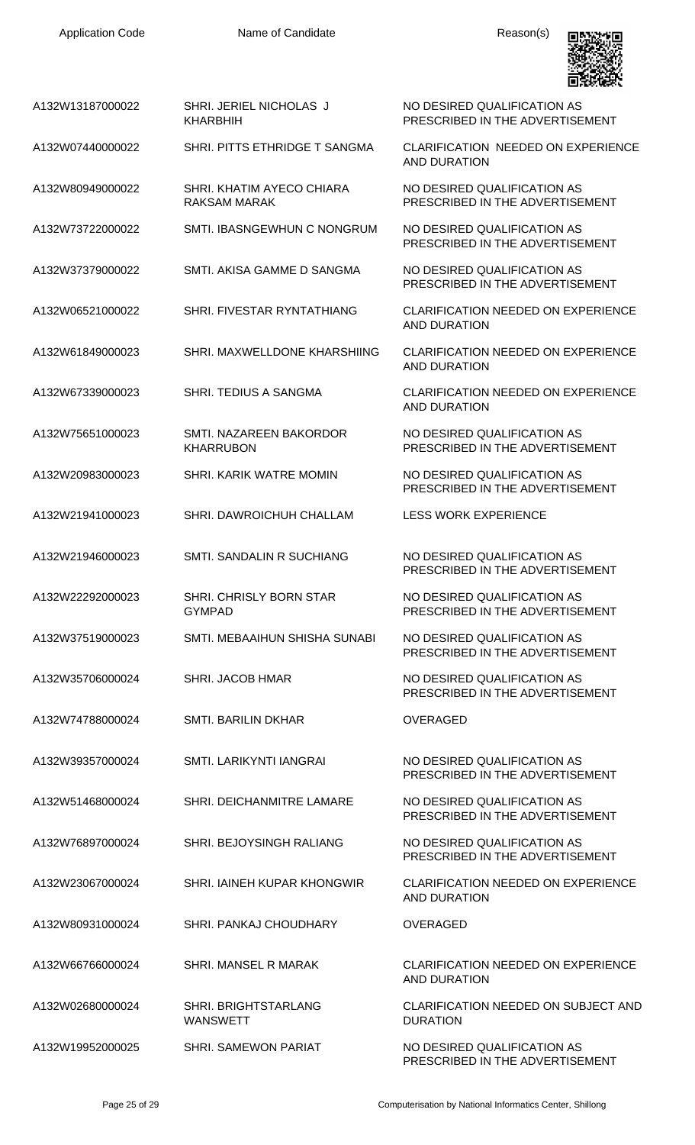

A132W13187000022 SHRI. JERIEL NICHOLAS J KHARBHIH

A132W07440000022 SHRI. PITTS ETHRIDGE T SANGMA CLARIFICATION NEEDED ON EXPERIENCE

A132W80949000022 SHRI. KHATIM AYECO CHIARA RAKSAM MARAK

A132W73722000022 SMTI. IBASNGEWHUN C NONGRUM NO DESIRED QUALIFICATION AS

A132W37379000022 SMTI. AKISA GAMME D SANGMA NO DESIRED QUALIFICATION AS

A132W06521000022 SHRI. FIVESTAR RYNTATHIANG CLARIFICATION NEEDED ON EXPERIENCE

A132W61849000023 SHRI. MAXWELLDONE KHARSHIING CLARIFICATION NEEDED ON EXPERIENCE

A132W67339000023 SHRI. TEDIUS A SANGMA CLARIFICATION NEEDED ON EXPERIENCE

A132W75651000023 SMTI. NAZAREEN BAKORDOR KHARRUBON

A132W20983000023 SHRI. KARIK WATRE MOMIN NO DESIRED QUALIFICATION AS

A132W21941000023 SHRI. DAWROICHUH CHALLAM LESS WORK EXPERIENCE

A132W21946000023 SMTI. SANDALIN R SUCHIANG NO DESIRED QUALIFICATION AS

A132W22292000023 SHRI. CHRISLY BORN STAR GYMPAD

A132W37519000023 SMTI. MEBAAIHUN SHISHA SUNABI NO DESIRED QUALIFICATION AS

A132W35706000024 SHRI. JACOB HMAR NO DESIRED QUALIFICATION AS

A132W74788000024 SMTI. BARILIN DKHAR OVERAGED

A132W39357000024 SMTI. LARIKYNTI IANGRAI NO DESIRED QUALIFICATION AS

A132W51468000024 SHRI. DEICHANMITRE LAMARE NO DESIRED QUALIFICATION AS

A132W76897000024 SHRI. BEJOYSINGH RALIANG NO DESIRED QUALIFICATION AS

A132W23067000024 SHRI. IAINEH KUPAR KHONGWIR CLARIFICATION NEEDED ON EXPERIENCE

A132W80931000024 SHRI. PANKAJ CHOUDHARY OVERAGED

A132W66766000024 SHRI. MANSEL R MARAK CLARIFICATION NEEDED ON EXPERIENCE

A132W02680000024 SHRI. BRIGHTSTARLANG WANSWETT

A132W19952000025 SHRI. SAMEWON PARIAT NO DESIRED QUALIFICATION AS

NO DESIRED QUALIFICATION AS PRESCRIBED IN THE ADVERTISEMENT

AND DURATION

NO DESIRED QUALIFICATION AS PRESCRIBED IN THE ADVERTISEMENT

PRESCRIBED IN THE ADVERTISEMENT

PRESCRIBED IN THE ADVERTISEMENT

AND DURATION

AND DURATION

AND DURATION

NO DESIRED QUALIFICATION AS PRESCRIBED IN THE ADVERTISEMENT

PRESCRIBED IN THE ADVERTISEMENT

PRESCRIBED IN THE ADVERTISEMENT

NO DESIRED QUALIFICATION AS PRESCRIBED IN THE ADVERTISEMENT

PRESCRIBED IN THE ADVERTISEMENT

PRESCRIBED IN THE ADVERTISEMENT

PRESCRIBED IN THE ADVERTISEMENT

PRESCRIBED IN THE ADVERTISEMENT

PRESCRIBED IN THE ADVERTISEMENT

AND DURATION

AND DURATION

CLARIFICATION NEEDED ON SUBJECT AND **DURATION** 

PRESCRIBED IN THE ADVERTISEMENT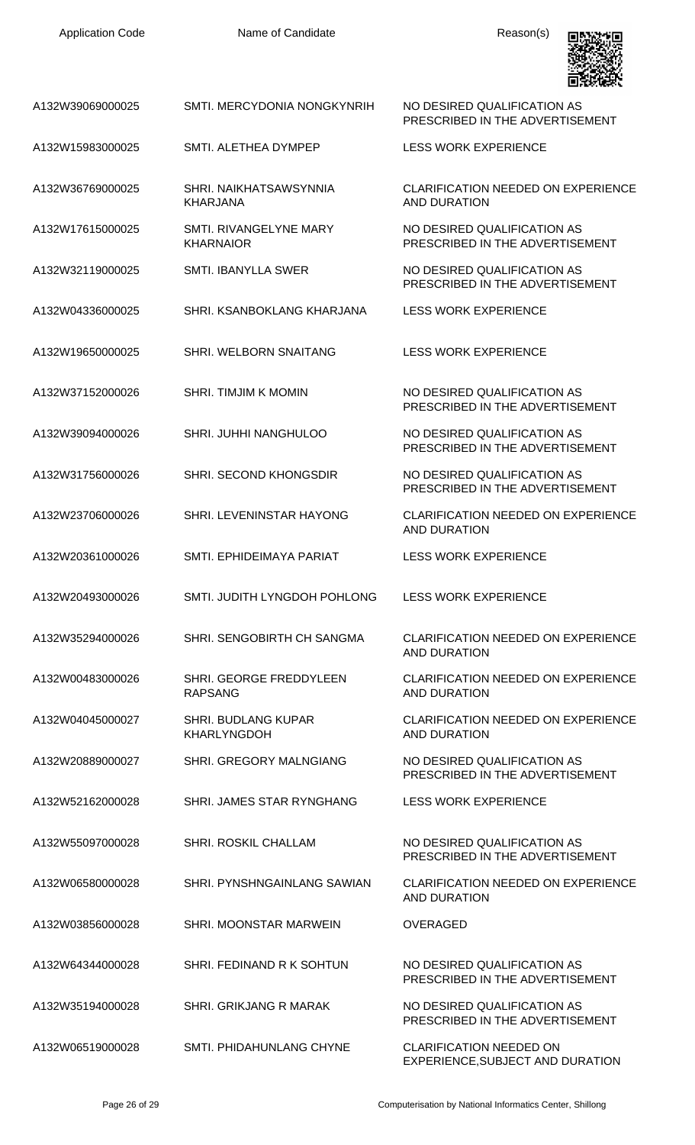| A132W39069000025 | SMTI. MERCYDONIA NONGKYNRIH                      | NO DESIRED QUALIFICATION AS<br>PRESCRIBED IN THE ADVERTISEMENT     |
|------------------|--------------------------------------------------|--------------------------------------------------------------------|
| A132W15983000025 | SMTI. ALETHEA DYMPEP                             | <b>LESS WORK EXPERIENCE</b>                                        |
| A132W36769000025 | SHRI. NAIKHATSAWSYNNIA<br><b>KHARJANA</b>        | <b>CLARIFICATION NEEDED ON EXPERIENCE</b><br>AND DURATION          |
| A132W17615000025 | SMTI. RIVANGELYNE MARY<br><b>KHARNAIOR</b>       | NO DESIRED QUALIFICATION AS<br>PRESCRIBED IN THE ADVERTISEMENT     |
| A132W32119000025 | <b>SMTI. IBANYLLA SWER</b>                       | NO DESIRED QUALIFICATION AS<br>PRESCRIBED IN THE ADVERTISEMENT     |
| A132W04336000025 | SHRI. KSANBOKLANG KHARJANA                       | <b>LESS WORK EXPERIENCE</b>                                        |
| A132W19650000025 | SHRI. WELBORN SNAITANG                           | <b>LESS WORK EXPERIENCE</b>                                        |
| A132W37152000026 | <b>SHRI. TIMJIM K MOMIN</b>                      | NO DESIRED QUALIFICATION AS<br>PRESCRIBED IN THE ADVERTISEMENT     |
| A132W39094000026 | SHRI. JUHHI NANGHULOO                            | NO DESIRED QUALIFICATION AS<br>PRESCRIBED IN THE ADVERTISEMENT     |
| A132W31756000026 | SHRI. SECOND KHONGSDIR                           | NO DESIRED QUALIFICATION AS<br>PRESCRIBED IN THE ADVERTISEMENT     |
| A132W23706000026 | SHRI. LEVENINSTAR HAYONG                         | <b>CLARIFICATION NEEDED ON EXPERIENCE</b><br><b>AND DURATION</b>   |
| A132W20361000026 | SMTI. EPHIDEIMAYA PARIAT                         | <b>LESS WORK EXPERIENCE</b>                                        |
| A132W20493000026 | SMTI. JUDITH LYNGDOH POHLONG                     | <b>LESS WORK EXPERIENCE</b>                                        |
| A132W35294000026 | SHRI. SENGOBIRTH CH SANGMA                       | <b>CLARIFICATION NEEDED ON EXPERIENCE</b><br><b>AND DURATION</b>   |
| A132W00483000026 | SHRI. GEORGE FREDDYLEEN<br><b>RAPSANG</b>        | <b>CLARIFICATION NEEDED ON EXPERIENCE</b><br><b>AND DURATION</b>   |
| A132W04045000027 | <b>SHRI. BUDLANG KUPAR</b><br><b>KHARLYNGDOH</b> | <b>CLARIFICATION NEEDED ON EXPERIENCE</b><br><b>AND DURATION</b>   |
| A132W20889000027 | SHRI. GREGORY MALNGIANG                          | NO DESIRED QUALIFICATION AS<br>PRESCRIBED IN THE ADVERTISEMENT     |
| A132W52162000028 | SHRI. JAMES STAR RYNGHANG                        | <b>LESS WORK EXPERIENCE</b>                                        |
| A132W55097000028 | <b>SHRI. ROSKIL CHALLAM</b>                      | NO DESIRED QUALIFICATION AS<br>PRESCRIBED IN THE ADVERTISEMENT     |
| A132W06580000028 | SHRI. PYNSHNGAINLANG SAWIAN                      | <b>CLARIFICATION NEEDED ON EXPERIENCE</b><br><b>AND DURATION</b>   |
| A132W03856000028 | SHRI. MOONSTAR MARWEIN                           | <b>OVERAGED</b>                                                    |
| A132W64344000028 | SHRI. FEDINAND R K SOHTUN                        | NO DESIRED QUALIFICATION AS<br>PRESCRIBED IN THE ADVERTISEMENT     |
| A132W35194000028 | <b>SHRI. GRIKJANG R MARAK</b>                    | NO DESIRED QUALIFICATION AS<br>PRESCRIBED IN THE ADVERTISEMENT     |
| A132W06519000028 | SMTI. PHIDAHUNLANG CHYNE                         | <b>CLARIFICATION NEEDED ON</b><br>EXPERIENCE, SUBJECT AND DURATION |

Application Code **Name of Candidate Name of Candidate** Reason(s)

**Designed**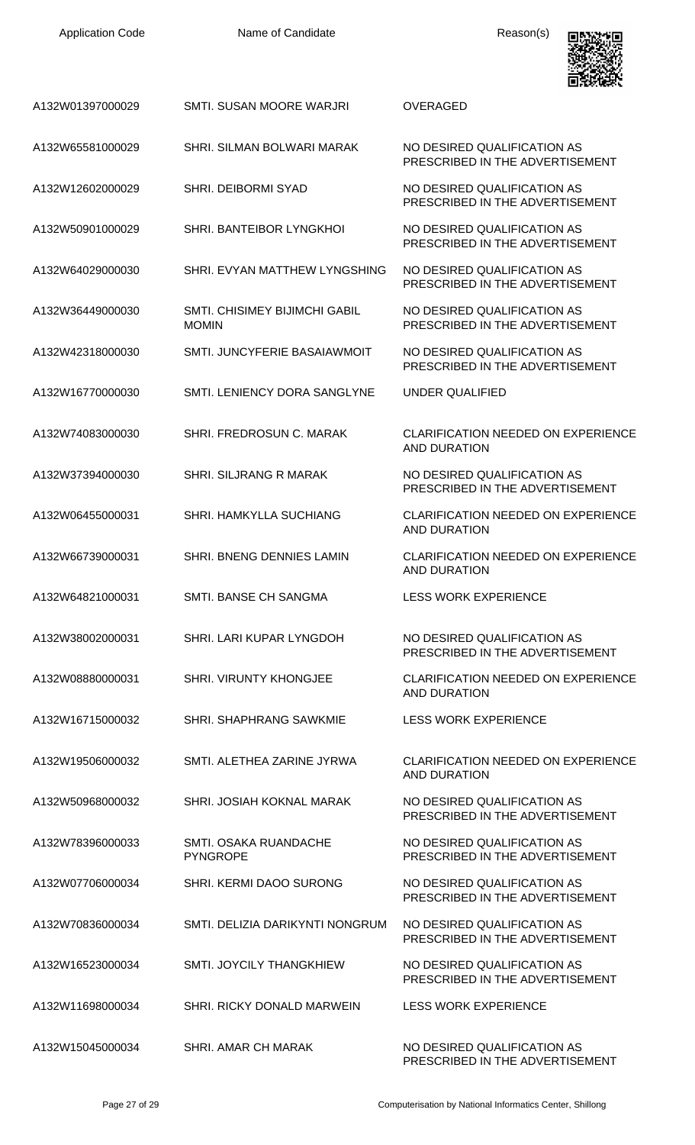| <b>Application Code</b> | Name of Candidate                                    | Reason(s)                                                        |
|-------------------------|------------------------------------------------------|------------------------------------------------------------------|
| A132W01397000029        | SMTI, SUSAN MOORE WARJRI                             | <b>OVERAGED</b>                                                  |
| A132W65581000029        | SHRI. SILMAN BOLWARI MARAK                           | NO DESIRED QUALIFICATION AS<br>PRESCRIBED IN THE ADVERTISEMENT   |
| A132W12602000029        | <b>SHRI. DEIBORMI SYAD</b>                           | NO DESIRED QUALIFICATION AS<br>PRESCRIBED IN THE ADVERTISEMENT   |
| A132W50901000029        | SHRI. BANTEIBOR LYNGKHOL                             | NO DESIRED QUALIFICATION AS<br>PRESCRIBED IN THE ADVERTISEMENT   |
| A132W64029000030        | SHRI. EVYAN MATTHEW LYNGSHING                        | NO DESIRED QUALIFICATION AS<br>PRESCRIBED IN THE ADVERTISEMENT   |
| A132W36449000030        | <b>SMTI, CHISIMEY BIJIMCHI GABIL</b><br><b>MOMIN</b> | NO DESIRED QUALIFICATION AS<br>PRESCRIBED IN THE ADVERTISEMENT   |
| A132W42318000030        | SMTI. JUNCYFERIE BASAIAWMOIT                         | NO DESIRED QUALIFICATION AS<br>PRESCRIBED IN THE ADVERTISEMENT   |
| A132W16770000030        | SMTI. LENIENCY DORA SANGLYNE                         | UNDER QUALIFIED                                                  |
| A132W74083000030        | SHRI. FREDROSUN C. MARAK                             | <b>CLARIFICATION NEEDED ON EXPERIENCE</b><br><b>AND DURATION</b> |
| A132W37394000030        | SHRI, SILJRANG R MARAK                               | NO DESIRED QUALIFICATION AS<br>PRESCRIBED IN THE ADVERTISEMENT   |
| A132W06455000031        | <b>SHRI. HAMKYLLA SUCHIANG</b>                       | <b>CLARIFICATION NEEDED ON EXPERIENCE</b><br>AND DURATION        |
| A132W66739000031        | <b>SHRI. BNENG DENNIES LAMIN</b>                     | <b>CLARIFICATION NEEDED ON EXPERIENCE</b><br><b>AND DURATION</b> |
| A132W64821000031        | SMTI. BANSE CH SANGMA                                | <b>LESS WORK EXPERIENCE</b>                                      |
| A132W38002000031        | SHRI. LARI KUPAR LYNGDOH                             | NO DESIRED QUALIFICATION AS<br>PRESCRIBED IN THE ADVERTISEMENT   |
| A132W08880000031        | <b>SHRI. VIRUNTY KHONGJEE</b>                        | <b>CLARIFICATION NEEDED ON EXPERIENCE</b><br>AND DURATION        |
| A132W16715000032        | <b>SHRI. SHAPHRANG SAWKMIE</b>                       | <b>LESS WORK EXPERIENCE</b>                                      |
| A132W19506000032        | SMTI. ALETHEA ZARINE JYRWA                           | <b>CLARIFICATION NEEDED ON EXPERIENCE</b><br><b>AND DURATION</b> |
| A132W50968000032        | SHRI. JOSIAH KOKNAL MARAK                            | NO DESIRED QUALIFICATION AS<br>PRESCRIBED IN THE ADVERTISEMENT   |
| A132W78396000033        | SMTI. OSAKA RUANDACHE<br><b>PYNGROPE</b>             | NO DESIRED QUALIFICATION AS<br>PRESCRIBED IN THE ADVERTISEMENT   |
| A132W07706000034        | SHRI. KERMI DAOO SURONG                              | NO DESIRED QUALIFICATION AS<br>PRESCRIBED IN THE ADVERTISEMENT   |
| A132W70836000034        | SMTI. DELIZIA DARIKYNTI NONGRUM                      | NO DESIRED QUALIFICATION AS<br>PRESCRIBED IN THE ADVERTISEMENT   |
| A132W16523000034        | <b>SMTI. JOYCILY THANGKHIEW</b>                      | NO DESIRED QUALIFICATION AS<br>PRESCRIBED IN THE ADVERTISEMENT   |
| A132W11698000034        | SHRI. RICKY DONALD MARWEIN                           | <b>LESS WORK EXPERIENCE</b>                                      |
| A132W15045000034        | SHRI. AMAR CH MARAK                                  | NO DESIRED QUALIFICATION AS                                      |

PRESCRIBED IN THE ADVERTISEMENT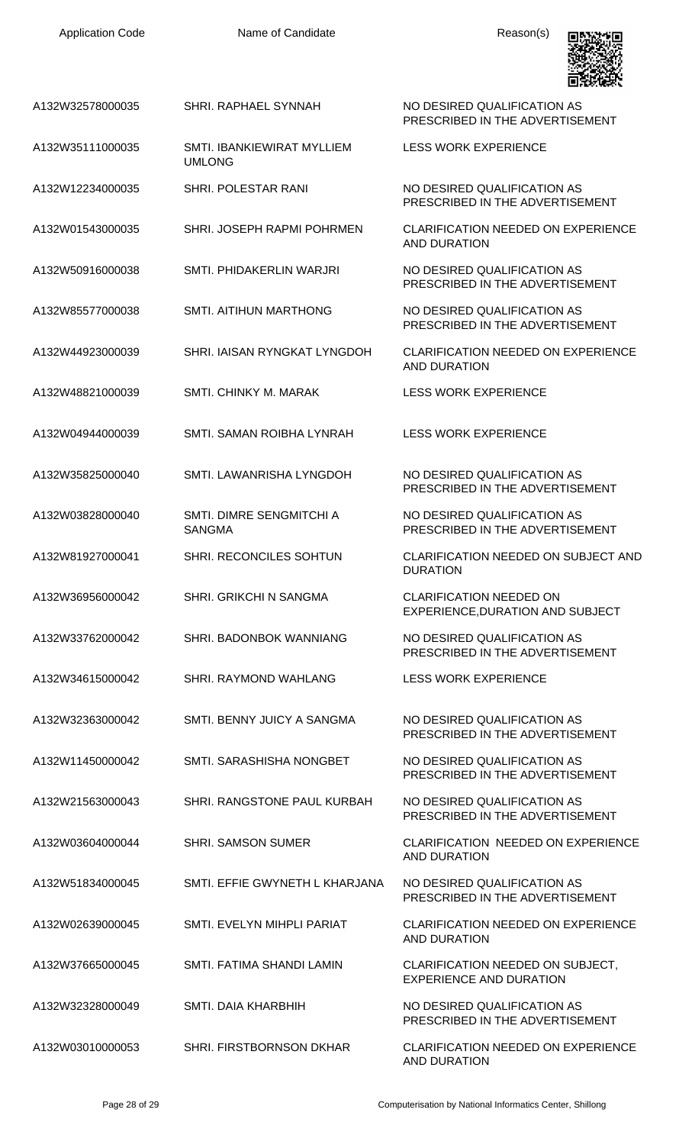

|                  |                                             | 国家观察院                                                              |
|------------------|---------------------------------------------|--------------------------------------------------------------------|
| A132W32578000035 | SHRI. RAPHAEL SYNNAH                        | NO DESIRED QUALIFICATION AS<br>PRESCRIBED IN THE ADVERTISEMENT     |
| A132W35111000035 | SMTI. IBANKIEWIRAT MYLLIEM<br><b>UMLONG</b> | <b>LESS WORK EXPERIENCE</b>                                        |
| A132W12234000035 | SHRI. POLESTAR RANI                         | NO DESIRED QUALIFICATION AS<br>PRESCRIBED IN THE ADVERTISEMENT     |
| A132W01543000035 | SHRI. JOSEPH RAPMI POHRMEN                  | <b>CLARIFICATION NEEDED ON EXPERIENCE</b><br>AND DURATION          |
| A132W50916000038 | SMTI. PHIDAKERLIN WARJRI                    | NO DESIRED QUALIFICATION AS<br>PRESCRIBED IN THE ADVERTISEMENT     |
| A132W85577000038 | <b>SMTI. AITIHUN MARTHONG</b>               | NO DESIRED QUALIFICATION AS<br>PRESCRIBED IN THE ADVERTISEMENT     |
| A132W44923000039 | SHRI. IAISAN RYNGKAT LYNGDOH                | <b>CLARIFICATION NEEDED ON EXPERIENCE</b><br>AND DURATION          |
| A132W48821000039 | SMTI, CHINKY M, MARAK                       | <b>LESS WORK EXPERIENCE</b>                                        |
| A132W04944000039 | SMTI. SAMAN ROIBHA LYNRAH                   | <b>LESS WORK EXPERIENCE</b>                                        |
| A132W35825000040 | SMTI. LAWANRISHA LYNGDOH                    | NO DESIRED QUALIFICATION AS<br>PRESCRIBED IN THE ADVERTISEMENT     |
| A132W03828000040 | SMTI, DIMRE SENGMITCHI A<br><b>SANGMA</b>   | NO DESIRED QUALIFICATION AS<br>PRESCRIBED IN THE ADVERTISEMENT     |
| A132W81927000041 | SHRI. RECONCILES SOHTUN                     | <b>CLARIFICATION NEEDED ON SUBJECT AND</b><br><b>DURATION</b>      |
| A132W36956000042 | <b>SHRI, GRIKCHI N SANGMA</b>               | <b>CLARIFICATION NEEDED ON</b><br>EXPERIENCE, DURATION AND SUBJECT |
| A132W33762000042 | SHRI. BADONBOK WANNIANG                     | NO DESIRED QUALIFICATION AS<br>PRESCRIBED IN THE ADVERTISEMENT     |
| A132W34615000042 | SHRI. RAYMOND WAHLANG                       | <b>LESS WORK EXPERIENCE</b>                                        |
| A132W32363000042 | SMTI, BENNY JUICY A SANGMA                  | NO DESIRED QUALIFICATION AS<br>PRESCRIBED IN THE ADVERTISEMENT     |
| A132W11450000042 | SMTI. SARASHISHA NONGBET                    | NO DESIRED QUALIFICATION AS<br>PRESCRIBED IN THE ADVERTISEMENT     |
| A132W21563000043 | SHRI. RANGSTONE PAUL KURBAH                 | NO DESIRED QUALIFICATION AS<br>PRESCRIBED IN THE ADVERTISEMENT     |
| A132W03604000044 | <b>SHRI. SAMSON SUMER</b>                   | <b>CLARIFICATION NEEDED ON EXPERIENCE</b><br><b>AND DURATION</b>   |
| A132W51834000045 | SMTI. EFFIE GWYNETH L KHARJANA              | NO DESIRED QUALIFICATION AS<br>PRESCRIBED IN THE ADVERTISEMENT     |
| A132W02639000045 | SMTI. EVELYN MIHPLI PARIAT                  | <b>CLARIFICATION NEEDED ON EXPERIENCE</b><br><b>AND DURATION</b>   |
| A132W37665000045 | SMTI. FATIMA SHANDI LAMIN                   | CLARIFICATION NEEDED ON SUBJECT,<br><b>EXPERIENCE AND DURATION</b> |
| A132W32328000049 | SMTI. DAIA KHARBHIH                         | NO DESIRED QUALIFICATION AS<br>PRESCRIBED IN THE ADVERTISEMENT     |
| A132W03010000053 | SHRI. FIRSTBORNSON DKHAR                    | <b>CLARIFICATION NEEDED ON EXPERIENCE</b><br><b>AND DURATION</b>   |